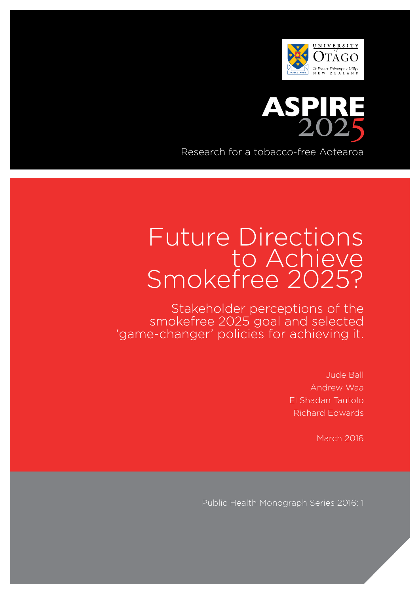



Research for a tobacco-free Aotearoa

# Future Directions to Achieve Smokefree 2025?

Stakeholder perceptions of the smokefree 2025 goal and selected 'game-changer' policies for achieving it.

> Jude Ball Andrew Waa El Shadan Tautolo Richard Edwards

> > March 2016

Public Health Monograph Series 2016: 1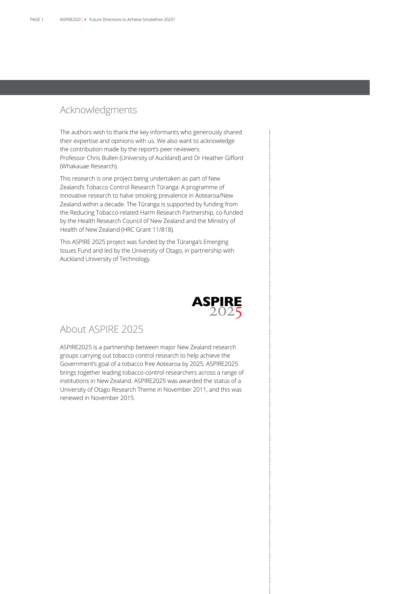## Acknowledgments

The authors wish to thank the key informants who generously shared their expertise and opinions with us. We also want to acknowledge the contribution made by the report's peer reviewers: Professor Chris Bullen (University of Auckland) and Dr Heather Gifford (Whakauae Research).

This research is one project being undertaken as part of New Zealand's Tobacco Control Research Tūranga: A programme of innovative research to halve smoking prevalence in Aotearoa/New Zealand within a decade. The Tūranga is supported by funding from the Reducing Tobacco-related Harm Research Partnership, co-funded by the Health Research Council of New Zealand and the Ministry of Health of New Zealand (HRC Grant 11/818).

This ASPIRE 2025 project was funded by the Tūranga's Emerging Issues Fund and led by the University of Otago, in partnership with Auckland University of Technology.



## About ASPIRE 2025

ASPIRE2025 is a partnership between major New Zealand research groups carrying out tobacco control research to help achieve the Government's goal of a tobacco free Aotearoa by 2025. ASPIRE2025 brings together leading tobacco-control researchers across a range of institutions in New Zealand. ASPIRE2025 was awarded the status of a University of Otago Research Theme in November 2011, and this was renewed in November 2015.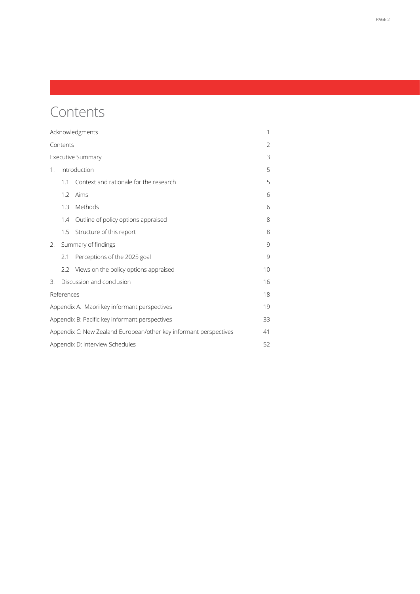# Contents

| Acknowledgments                                                   |                           |                                        |    |  |  |
|-------------------------------------------------------------------|---------------------------|----------------------------------------|----|--|--|
| Contents                                                          |                           |                                        |    |  |  |
| <b>Executive Summary</b>                                          |                           |                                        |    |  |  |
| $1_{\cdot}$                                                       |                           | Introduction                           |    |  |  |
|                                                                   | 1.1                       | Context and rationale for the research | 5  |  |  |
|                                                                   | 1.2                       | Aims                                   | 6  |  |  |
|                                                                   | 1.3                       | Methods                                | 6  |  |  |
|                                                                   | 1.4                       | Outline of policy options appraised    | 8  |  |  |
|                                                                   | 1.5                       | Structure of this report               | 8  |  |  |
| 2.                                                                | Summary of findings       |                                        |    |  |  |
|                                                                   | 2.1                       | Perceptions of the 2025 goal           | 9  |  |  |
|                                                                   | 2.2                       | Views on the policy options appraised  | 10 |  |  |
| 3.                                                                | Discussion and conclusion |                                        |    |  |  |
| References<br>18                                                  |                           |                                        |    |  |  |
| Appendix A. Māori key informant perspectives                      |                           |                                        |    |  |  |
| Appendix B: Pacific key informant perspectives                    |                           |                                        |    |  |  |
| Appendix C: New Zealand European/other key informant perspectives |                           |                                        |    |  |  |
| Appendix D: Interview Schedules<br>52                             |                           |                                        |    |  |  |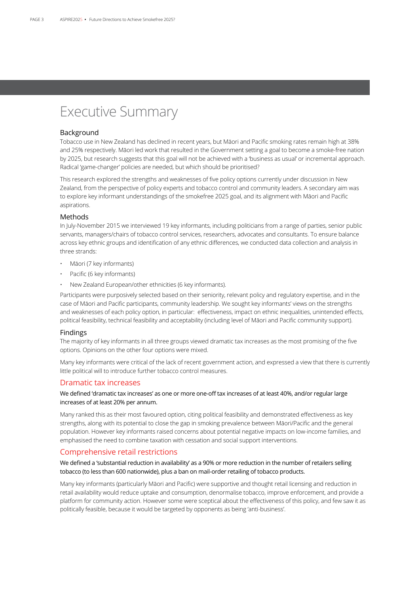# Executive Summary

### Background

Tobacco use in New Zealand has declined in recent years, but Māori and Pacific smoking rates remain high at 38% and 25% respectively. Māori led work that resulted in the Government setting a goal to become a smoke-free nation by 2025, but research suggests that this goal will not be achieved with a 'business as usual' or incremental approach. Radical 'game-changer' policies are needed, but which should be prioritised?

This research explored the strengths and weaknesses of five policy options currently under discussion in New Zealand, from the perspective of policy experts and tobacco control and community leaders. A secondary aim was to explore key informant understandings of the smokefree 2025 goal, and its alignment with Māori and Pacific aspirations.

### Methods

In July-November 2015 we interviewed 19 key informants, including politicians from a range of parties, senior public servants, managers/chairs of tobacco control services, researchers, advocates and consultants. To ensure balance across key ethnic groups and identification of any ethnic differences, we conducted data collection and analysis in three strands:

- Māori (7 key informants)
- Pacific (6 key informants)
- New Zealand European/other ethnicities (6 key informants).

Participants were purposively selected based on their seniority, relevant policy and regulatory expertise, and in the case of Māori and Pacific participants, community leadership. We sought key informants' views on the strengths and weaknesses of each policy option, in particular: effectiveness, impact on ethnic inequalities, unintended effects, political feasibility, technical feasibility and acceptability (including level of Māori and Pacific community support).

### Findings

The majority of key informants in all three groups viewed dramatic tax increases as the most promising of the five options. Opinions on the other four options were mixed.

Many key informants were critical of the lack of recent government action, and expressed a view that there is currently little political will to introduce further tobacco control measures.

### Dramatic tax increases

### We defined 'dramatic tax increases' as one or more one-off tax increases of at least 40%, and/or regular large increases of at least 20% per annum.

Many ranked this as their most favoured option, citing political feasibility and demonstrated effectiveness as key strengths, along with its potential to close the gap in smoking prevalence between Māori/Pacific and the general population. However key informants raised concerns about potential negative impacts on low-income families, and emphasised the need to combine taxation with cessation and social support interventions.

### Comprehensive retail restrictions

### We defined a 'substantial reduction in availability' as a 90% or more reduction in the number of retailers selling tobacco (to less than 600 nationwide), plus a ban on mail-order retailing of tobacco products.

Many key informants (particularly Māori and Pacific) were supportive and thought retail licensing and reduction in retail availability would reduce uptake and consumption, denormalise tobacco, improve enforcement, and provide a platform for community action. However some were sceptical about the effectiveness of this policy, and few saw it as politically feasible, because it would be targeted by opponents as being 'anti-business'.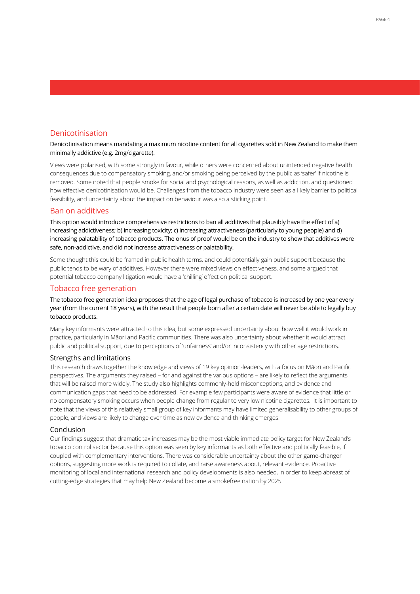### Denicotinisation

Denicotinisation means mandating a maximum nicotine content for all cigarettes sold in New Zealand to make them minimally addictive (e.g. 2mg/cigarette).

Views were polarised, with some strongly in favour, while others were concerned about unintended negative health consequences due to compensatory smoking, and/or smoking being perceived by the public as 'safer' if nicotine is removed. Some noted that people smoke for social and psychological reasons, as well as addiction, and questioned how effective denicotinisation would be. Challenges from the tobacco industry were seen as a likely barrier to political feasibility, and uncertainty about the impact on behaviour was also a sticking point.

### Ban on additives

This option would introduce comprehensive restrictions to ban all additives that plausibly have the effect of a) increasing addictiveness; b) increasing toxicity; c) increasing attractiveness (particularly to young people) and d) increasing palatability of tobacco products. The onus of proof would be on the industry to show that additives were safe, non-addictive, and did not increase attractiveness or palatability.

Some thought this could be framed in public health terms, and could potentially gain public support because the public tends to be wary of additives. However there were mixed views on effectiveness, and some argued that potential tobacco company litigation would have a 'chilling' effect on political support.

### Tobacco free generation

The tobacco free generation idea proposes that the age of legal purchase of tobacco is increased by one year every year (from the current 18 years), with the result that people born after a certain date will never be able to legally buy tobacco products.

Many key informants were attracted to this idea, but some expressed uncertainty about how well it would work in practice, particularly in Māori and Pacific communities. There was also uncertainty about whether it would attract public and political support, due to perceptions of 'unfairness' and/or inconsistency with other age restrictions.

### Strengths and limitations

This research draws together the knowledge and views of 19 key opinion-leaders, with a focus on Māori and Pacific perspectives. The arguments they raised – for and against the various options – are likely to reflect the arguments that will be raised more widely. The study also highlights commonly-held misconceptions, and evidence and communication gaps that need to be addressed. For example few participants were aware of evidence that little or no compensatory smoking occurs when people change from regular to very low nicotine cigarettes. It is important to note that the views of this relatively small group of key informants may have limited generalisability to other groups of people, and views are likely to change over time as new evidence and thinking emerges.

### Conclusion

Our findings suggest that dramatic tax increases may be the most viable immediate policy target for New Zealand's tobacco control sector because this option was seen by key informants as both effective and politically feasible, if coupled with complementary interventions. There was considerable uncertainty about the other game-changer options, suggesting more work is required to collate, and raise awareness about, relevant evidence. Proactive monitoring of local and international research and policy developments is also needed, in order to keep abreast of cutting-edge strategies that may help New Zealand become a smokefree nation by 2025.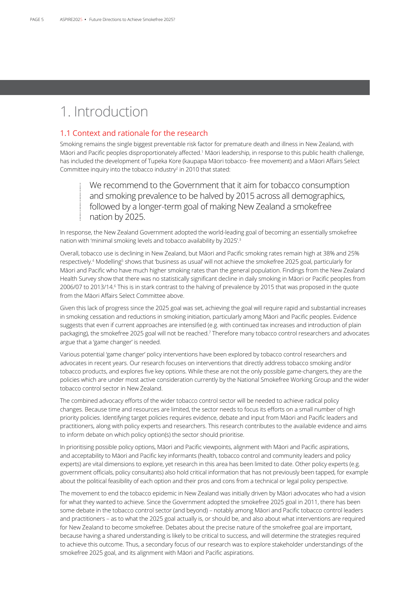# 1. Introduction

### 1.1 Context and rationale for the research

Smoking remains the single biggest preventable risk factor for premature death and illness in New Zealand, with Māori and Pacific peoples disproportionately affected.<sup>1</sup> Māori leadership, in response to this public health challenge, has included the development of Tupeka Kore (kaupapa Māori tobacco- free movement) and a Māori Affairs Select Committee inquiry into the tobacco industry<sup>2</sup> in 2010 that stated:

We recommend to the Government that it aim for tobacco consumption and smoking prevalence to be halved by 2015 across all demographics, followed by a longer-term goal of making New Zealand a smokefree nation by 2025.

In response, the New Zealand Government adopted the world-leading goal of becoming an essentially smokefree nation with 'minimal smoking levels and tobacco availability by 2025'.3

Overall, tobacco use is declining in New Zealand, but Māori and Pacific smoking rates remain high at 38% and 25% respectively.<sup>4</sup> Modelling<sup>5</sup> shows that 'business as usual' will not achieve the smokefree 2025 goal, particularly for Māori and Pacific who have much higher smoking rates than the general population. Findings from the New Zealand Health Survey show that there was no statistically significant decline in daily smoking in Māori or Pacific peoples from 2006/07 to 2013/14.<sup>6</sup> This is in stark contrast to the halving of prevalence by 2015 that was proposed in the quote from the Māori Affairs Select Committee above.

Given this lack of progress since the 2025 goal was set, achieving the goal will require rapid and substantial increases in smoking cessation and reductions in smoking initiation, particularly among Māori and Pacific peoples. Evidence suggests that even if current approaches are intensified (e.g. with continued tax increases and introduction of plain packaging), the smokefree 2025 goal will not be reached.<sup>7</sup> Therefore many tobacco control researchers and advocates argue that a 'game changer' is needed.

Various potential 'game changer' policy interventions have been explored by tobacco control researchers and advocates in recent years. Our research focuses on interventions that directly address tobacco smoking and/or tobacco products, and explores five key options. While these are not the only possible game-changers, they are the policies which are under most active consideration currently by the National Smokefree Working Group and the wider tobacco control sector in New Zealand.

The combined advocacy efforts of the wider tobacco control sector will be needed to achieve radical policy changes. Because time and resources are limited, the sector needs to focus its efforts on a small number of high priority policies. Identifying target policies requires evidence, debate and input from Māori and Pacific leaders and practitioners, along with policy experts and researchers. This research contributes to the available evidence and aims to inform debate on which policy option(s) the sector should prioritise.

In prioritising possible policy options, Māori and Pacific viewpoints, alignment with Māori and Pacific aspirations, and acceptability to Māori and Pacific key informants (health, tobacco control and community leaders and policy experts) are vital dimensions to explore, yet research in this area has been limited to date. Other policy experts (e.g. government officials, policy consultants) also hold critical information that has not previously been tapped, for example about the political feasibility of each option and their pros and cons from a technical or legal policy perspective.

The movement to end the tobacco epidemic in New Zealand was initially driven by Māori advocates who had a vision for what they wanted to achieve. Since the Government adopted the smokefree 2025 goal in 2011, there has been some debate in the tobacco control sector (and beyond) – notably among Māori and Pacific tobacco control leaders and practitioners – as to what the 2025 goal actually is, or should be, and also about what interventions are required for New Zealand to become smokefree. Debates about the precise nature of the smokefree goal are important, because having a shared understanding is likely to be critical to success, and will determine the strategies required to achieve this outcome. Thus, a secondary focus of our research was to explore stakeholder understandings of the smokefree 2025 goal, and its alignment with Māori and Pacific aspirations.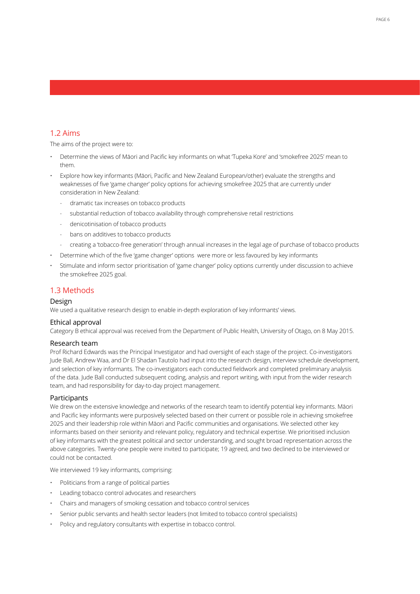### 1.2 Aims

The aims of the project were to:

- Determine the views of Māori and Pacific key informants on what 'Tupeka Kore' and 'smokefree 2025' mean to them.
- Explore how key informants (Māori, Pacific and New Zealand European/other) evaluate the strengths and weaknesses of five 'game changer' policy options for achieving smokefree 2025 that are currently under consideration in New Zealand:
	- dramatic tax increases on tobacco products
	- substantial reduction of tobacco availability through comprehensive retail restrictions
	- denicotinisation of tobacco products
	- bans on additives to tobacco products
	- creating a 'tobacco-free generation' through annual increases in the legal age of purchase of tobacco products
- Determine which of the five 'game changer' options were more or less favoured by key informants
- Stimulate and inform sector prioritisation of 'game changer' policy options currently under discussion to achieve the smokefree 2025 goal.

### 1.3 Methods

### Design

We used a qualitative research design to enable in-depth exploration of key informants' views.

### Ethical approval

Category B ethical approval was received from the Department of Public Health, University of Otago, on 8 May 2015.

### Research team

Prof Richard Edwards was the Principal Investigator and had oversight of each stage of the project. Co-investigators Jude Ball, Andrew Waa, and Dr El Shadan Tautolo had input into the research design, interview schedule development, and selection of key informants. The co-investigators each conducted fieldwork and completed preliminary analysis of the data. Jude Ball conducted subsequent coding, analysis and report writing, with input from the wider research team, and had responsibility for day-to-day project management.

### Participants

We drew on the extensive knowledge and networks of the research team to identify potential key informants. Māori and Pacific key informants were purposively selected based on their current or possible role in achieving smokefree 2025 and their leadership role within Māori and Pacific communities and organisations. We selected other key informants based on their seniority and relevant policy, regulatory and technical expertise. We prioritised inclusion of key informants with the greatest political and sector understanding, and sought broad representation across the above categories. Twenty-one people were invited to participate; 19 agreed, and two declined to be interviewed or could not be contacted.

We interviewed 19 key informants, comprising:

- Politicians from a range of political parties
- Leading tobacco control advocates and researchers
- Chairs and managers of smoking cessation and tobacco control services
- Senior public servants and health sector leaders (not limited to tobacco control specialists)
- Policy and regulatory consultants with expertise in tobacco control.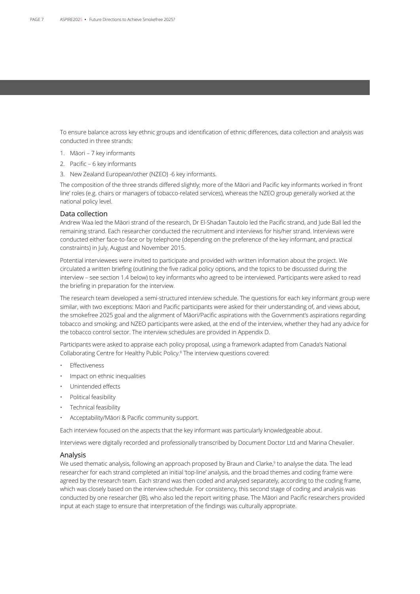To ensure balance across key ethnic groups and identification of ethnic differences, data collection and analysis was conducted in three strands:

- 1. Māori 7 key informants
- 2. Pacific 6 key informants
- 3. New Zealand European/other (NZEO) -6 key informants.

The composition of the three strands differed slightly; more of the Māori and Pacific key informants worked in 'front line' roles (e.g. chairs or managers of tobacco-related services), whereas the NZEO group generally worked at the national policy level.

### Data collection

Andrew Waa led the Māori strand of the research, Dr El-Shadan Tautolo led the Pacific strand, and Jude Ball led the remaining strand. Each researcher conducted the recruitment and interviews for his/her strand. Interviews were conducted either face-to-face or by telephone (depending on the preference of the key informant, and practical constraints) in July, August and November 2015.

Potential interviewees were invited to participate and provided with written information about the project. We circulated a written briefing (outlining the five radical policy options, and the topics to be discussed during the interview – see section 1.4 below) to key informants who agreed to be interviewed. Participants were asked to read the briefing in preparation for the interview.

The research team developed a semi-structured interview schedule. The questions for each key informant group were similar, with two exceptions: Māori and Pacific participants were asked for their understanding of, and views about, the smokefree 2025 goal and the alignment of Māori/Pacific aspirations with the Government's aspirations regarding tobacco and smoking; and NZEO participants were asked, at the end of the interview, whether they had any advice for the tobacco control sector. The interview schedules are provided in Appendix D.

Participants were asked to appraise each policy proposal, using a framework adapted from Canada's National Collaborating Centre for Healthy Public Policy.8 The interview questions covered:

- **Effectiveness**
- Impact on ethnic inequalities
- Unintended effects
- Political feasibility
- Technical feasibility
- Acceptability/Māori & Pacific community support.

Each interview focused on the aspects that the key informant was particularly knowledgeable about.

Interviews were digitally recorded and professionally transcribed by Document Doctor Ltd and Marina Chevalier.

### Analysis

We used thematic analysis, following an approach proposed by Braun and Clarke,<sup>9</sup> to analyse the data. The lead researcher for each strand completed an initial 'top-line' analysis, and the broad themes and coding frame were agreed by the research team. Each strand was then coded and analysed separately, according to the coding frame, which was closely based on the interview schedule. For consistency, this second stage of coding and analysis was conducted by one researcher (JB), who also led the report writing phase. The Māori and Pacific researchers provided input at each stage to ensure that interpretation of the findings was culturally appropriate.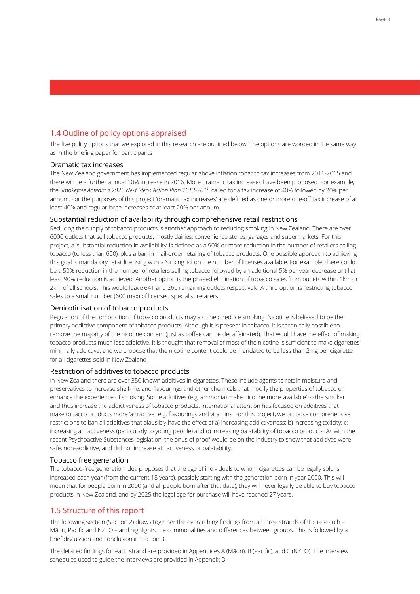## 1.4 Outline of policy options appraised

The five policy options that we explored in this research are outlined below. The options are worded in the same way as in the briefing paper for participants.

### Dramatic tax increases

The New Zealand government has implemented regular above inflation tobacco tax increases from 2011-2015 and there will be a further annual 10% increase in 2016. More dramatic tax increases have been proposed. For example, the *Smokefree Aotearoa 2025 Next Steps Action Plan 2013-2015* called for a tax increase of 40% followed by 20% per annum. For the purposes of this project 'dramatic tax increases' are defined as one or more one-off tax increase of at least 40% and regular large increases of at least 20% per annum.

### Substantial reduction of availability through comprehensive retail restrictions

Reducing the supply of tobacco products is another approach to reducing smoking in New Zealand. There are over 6000 outlets that sell tobacco products, mostly dairies, convenience stores, garages and supermarkets. For this project, a 'substantial reduction in availability' is defined as a 90% or more reduction in the number of retailers selling tobacco (to less than 600), plus a ban in mail-order retailing of tobacco products. One possible approach to achieving this goal is mandatory retail licensing with a 'sinking lid' on the number of licenses available. For example, there could be a 50% reduction in the number of retailers selling tobacco followed by an additional 5% per year decrease until at least 90% reduction is achieved. Another option is the phased elimination of tobacco sales from outlets within 1km or 2km of all schools. This would leave 641 and 260 remaining outlets respectively. A third option is restricting tobacco sales to a small number (600 max) of licensed specialist retailers.

### Denicotinisation of tobacco products

Regulation of the composition of tobacco products may also help reduce smoking. Nicotine is believed to be the primary addictive component of tobacco products. Although it is present in tobacco, it is technically possible to remove the majority of the nicotine content (just as coffee can be decaffeinated). That would have the effect of making tobacco products much less addictive. It is thought that removal of most of the nicotine is sufficient to make cigarettes minimally addictive, and we propose that the nicotine content could be mandated to be less than 2mg per cigarette for all cigarettes sold in New Zealand.

### Restriction of additives to tobacco products

In New Zealand there are over 350 known additives in cigarettes. These include agents to retain moisture and preservatives to increase shelf-life, and flavourings and other chemicals that modify the properties of tobacco or enhance the experience of smoking. Some additives (e.g. ammonia) make nicotine more 'available' to the smoker and thus increase the addictiveness of tobacco products. International attention has focused on additives that make tobacco products more 'attractive', e.g. flavourings and vitamins. For this project, we propose comprehensive restrictions to ban all additives that plausibly have the effect of a) increasing addictiveness; b) increasing toxicity; c) increasing attractiveness (particularly to young people) and d) increasing palatability of tobacco products. As with the recent Psychoactive Substances legislation, the onus of proof would be on the industry to show that additives were safe, non-addictive, and did not increase attractiveness or palatability.

### Tobacco free generation

The tobacco-free generation idea proposes that the age of individuals to whom cigarettes can be legally sold is increased each year (from the current 18 years), possibly starting with the generation born in year 2000. This will mean that for people born in 2000 (and all people born after that date), they will never legally be able to buy tobacco products in New Zealand, and by 2025 the legal age for purchase will have reached 27 years.

### 1.5 Structure of this report

The following section (Section 2) draws together the overarching findings from all three strands of the research – Māori, Pacific and NZEO – and highlights the commonalities and differences between groups. This is followed by a brief discussion and conclusion in Section 3.

The detailed findings for each strand are provided in Appendices A (Māori), B (Pacific), and C (NZEO). The interview schedules used to guide the interviews are provided in Appendix D.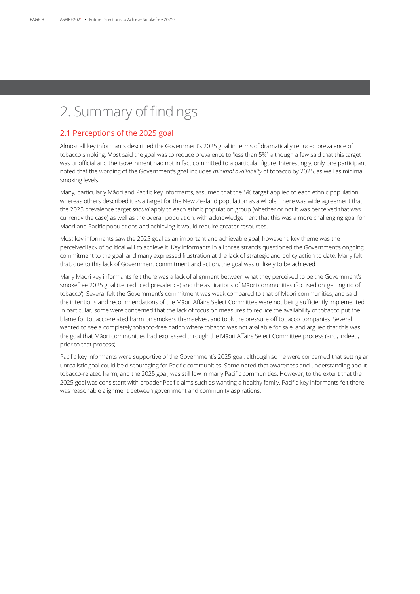# 2. Summary of findings

### 2.1 Perceptions of the 2025 goal

Almost all key informants described the Government's 2025 goal in terms of dramatically reduced prevalence of tobacco smoking. Most said the goal was to reduce prevalence to 'less than 5%', although a few said that this target was unofficial and the Government had not in fact committed to a particular figure. Interestingly, only one participant noted that the wording of the Government's goal includes *minimal availability* of tobacco by 2025, as well as minimal smoking levels.

Many, particularly Māori and Pacific key informants, assumed that the 5% target applied to each ethnic population, whereas others described it as a target for the New Zealand population as a whole. There was wide agreement that the 2025 prevalence target *should* apply to each ethnic population group (whether or not it was perceived that was currently the case) as well as the overall population, with acknowledgement that this was a more challenging goal for Māori and Pacific populations and achieving it would require greater resources.

Most key informants saw the 2025 goal as an important and achievable goal, however a key theme was the perceived lack of political will to achieve it. Key informants in all three strands questioned the Government's ongoing commitment to the goal, and many expressed frustration at the lack of strategic and policy action to date. Many felt that, due to this lack of Government commitment and action, the goal was unlikely to be achieved.

Many Māori key informants felt there was a lack of alignment between what they perceived to be the Government's smokefree 2025 goal (i.e. reduced prevalence) and the aspirations of Māori communities (focused on 'getting rid of tobacco'). Several felt the Government's commitment was weak compared to that of Māori communities, and said the intentions and recommendations of the Māori Affairs Select Committee were not being sufficiently implemented. In particular, some were concerned that the lack of focus on measures to reduce the availability of tobacco put the blame for tobacco-related harm on smokers themselves, and took the pressure off tobacco companies. Several wanted to see a completely tobacco-free nation where tobacco was not available for sale, and argued that this was the goal that Māori communities had expressed through the Māori Affairs Select Committee process (and, indeed, prior to that process).

Pacific key informants were supportive of the Government's 2025 goal, although some were concerned that setting an unrealistic goal could be discouraging for Pacific communities. Some noted that awareness and understanding about tobacco-related harm, and the 2025 goal, was still low in many Pacific communities. However, to the extent that the 2025 goal was consistent with broader Pacific aims such as wanting a healthy family, Pacific key informants felt there was reasonable alignment between government and community aspirations.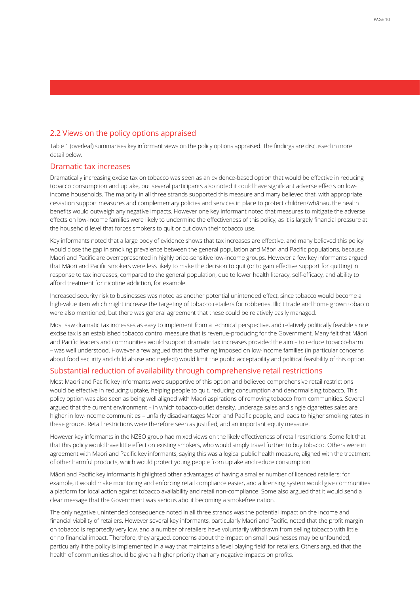### 2.2 Views on the policy options appraised

Table 1 (overleaf) summarises key informant views on the policy options appraised. The findings are discussed in more detail below.

### Dramatic tax increases

Dramatically increasing excise tax on tobacco was seen as an evidence-based option that would be effective in reducing tobacco consumption and uptake, but several participants also noted it could have significant adverse effects on lowincome households. The majority in all three strands supported this measure and many believed that, with appropriate cessation support measures and complementary policies and services in place to protect children/whānau, the health benefits would outweigh any negative impacts. However one key informant noted that measures to mitigate the adverse effects on low-income families were likely to undermine the effectiveness of this policy, as it is largely financial pressure at the household level that forces smokers to quit or cut down their tobacco use.

Key informants noted that a large body of evidence shows that tax increases are effective, and many believed this policy would close the gap in smoking prevalence between the general population and Māori and Pacific populations, because Māori and Pacific are overrepresented in highly price-sensitive low-income groups. However a few key informants argued that Māori and Pacific smokers were less likely to make the decision to quit (or to gain effective support for quitting) in response to tax increases, compared to the general population, due to lower health literacy, self-efficacy, and ability to afford treatment for nicotine addiction, for example.

Increased security risk to businesses was noted as another potential unintended effect, since tobacco would become a high-value item which might increase the targeting of tobacco retailers for robberies. Illicit trade and home grown tobacco were also mentioned, but there was general agreement that these could be relatively easily managed.

Most saw dramatic tax increases as easy to implement from a technical perspective, and relatively politically feasible since excise tax is an established tobacco control measure that is revenue-producing for the Government. Many felt that Māori and Pacific leaders and communities would support dramatic tax increases provided the aim – to reduce tobacco-harm – was well understood. However a few argued that the suffering imposed on low-income families (in particular concerns about food security and child abuse and neglect) would limit the public acceptability and political feasibility of this option.

### Substantial reduction of availability through comprehensive retail restrictions

Most Māori and Pacific key informants were supportive of this option and believed comprehensive retail restrictions would be effective in reducing uptake, helping people to quit, reducing consumption and denormalising tobacco. This policy option was also seen as being well aligned with Māori aspirations of removing tobacco from communities. Several argued that the current environment – in which tobacco-outlet density, underage sales and single cigarettes sales are higher in low-income communities – unfairly disadvantages Māori and Pacific people, and leads to higher smoking rates in these groups. Retail restrictions were therefore seen as justified, and an important equity measure.

However key informants in the NZEO group had mixed views on the likely effectiveness of retail restrictions. Some felt that that this policy would have little effect on existing smokers, who would simply travel further to buy tobacco. Others were in agreement with Māori and Pacific key informants, saying this was a logical public health measure, aligned with the treatment of other harmful products, which would protect young people from uptake and reduce consumption.

Māori and Pacific key informants highlighted other advantages of having a smaller number of licenced retailers: for example, it would make monitoring and enforcing retail compliance easier, and a licensing system would give communities a platform for local action against tobacco availability and retail non-compliance. Some also argued that it would send a clear message that the Government was serious about becoming a smokefree nation.

The only negative unintended consequence noted in all three strands was the potential impact on the income and financial viability of retailers. However several key informants, particularly Māori and Pacific, noted that the profit margin on tobacco is reportedly very low, and a number of retailers have voluntarily withdrawn from selling tobacco with little or no financial impact. Therefore, they argued, concerns about the impact on small businesses may be unfounded, particularly if the policy is implemented in a way that maintains a 'level playing field' for retailers. Others argued that the health of communities should be given a higher priority than any negative impacts on profits.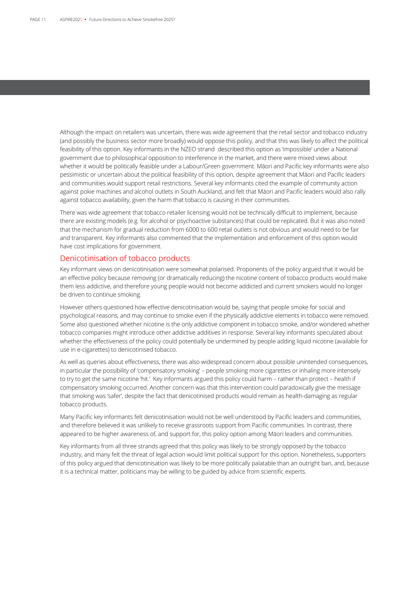Although the impact on retailers was uncertain, there was wide agreement that the retail sector and tobacco industry (and possibly the business sector more broadly) would oppose this policy, and that this was likely to affect the political feasibility of this option. Key informants in the NZEO strand described this option as 'impossible' under a National government due to philosophical opposition to interference in the market, and there were mixed views about whether it would be politically feasible under a Labour/Green government. Māori and Pacific key informants were also pessimistic or uncertain about the political feasibility of this option, despite agreement that Māori and Pacific leaders and communities would support retail restrictions. Several key informants cited the example of community action against pokie machines and alcohol outlets in South Auckland, and felt that Māori and Pacific leaders would also rally against tobacco availability, given the harm that tobacco is causing in their communities.

There was wide agreement that tobacco retailer licensing would not be technically difficult to implement, because there are existing models (e.g. for alcohol or psychoactive substances) that could be replicated. But it was also noted that the mechanism for gradual reduction from 6000 to 600 retail outlets is not obvious and would need to be fair and transparent. Key informants also commented that the implementation and enforcement of this option would have cost implications for government.

### Denicotinisation of tobacco products

Key informant views on denicotinisation were somewhat polarised. Proponents of the policy argued that it would be an effective policy because removing (or dramatically reducing) the nicotine content of tobacco products would make them less addictive, and therefore young people would not become addicted and current smokers would no longer be driven to continue smoking.

However others questioned how effective denicotinisation would be, saying that people smoke for social and psychological reasons, and may continue to smoke even if the physically addictive elements in tobacco were removed. Some also questioned whether nicotine is the only addictive component in tobacco smoke, and/or wondered whether tobacco companies might introduce other addictive additives in response. Several key informants speculated about whether the effectiveness of the policy could potentially be undermined by people adding liquid nicotine (available for use in e-cigarettes) to denicotinised tobacco.

As well as queries about effectiveness, there was also widespread concern about possible unintended consequences, in particular the possibility of 'compensatory smoking' – people smoking more cigarettes or inhaling more intensely to try to get the same nicotine 'hit.' Key informants argued this policy could harm – rather than protect – health if compensatory smoking occurred. Another concern was that this intervention could paradoxically give the message that smoking was 'safer', despite the fact that denicotinised products would remain as health-damaging as regular tobacco products.

Many Pacific key informants felt denicotinisation would not be well understood by Pacific leaders and communities, and therefore believed it was unlikely to receive grassroots support from Pacific communities. In contrast, there appeared to be higher awareness of, and support for, this policy option among Māori leaders and communities.

Key informants from all three strands agreed that this policy was likely to be strongly opposed by the tobacco industry, and many felt the threat of legal action would limit political support for this option. Nonetheless, supporters of this policy argued that denicotinisation was likely to be more politically palatable than an outright ban, and, because it is a technical matter, politicians may be willing to be guided by advice from scientific experts.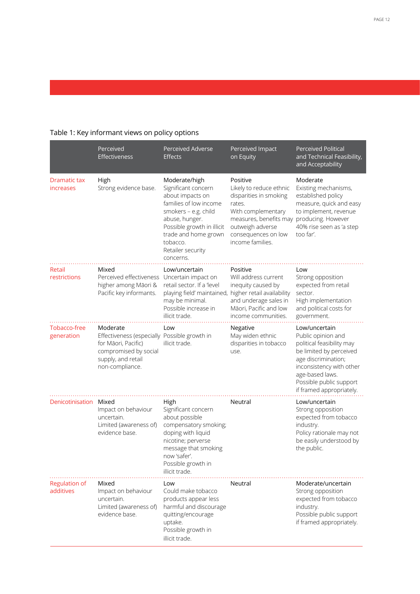|                                   | Perceived<br>Effectiveness                                                                                                                        | Perceived Adverse<br><b>Effects</b>                                                                                                                                                                                              | Perceived Impact<br>on Equity                                                                                                                                                                             | <b>Perceived Political</b><br>and Technical Feasibility,<br>and Acceptability                                                                                                                                            |
|-----------------------------------|---------------------------------------------------------------------------------------------------------------------------------------------------|----------------------------------------------------------------------------------------------------------------------------------------------------------------------------------------------------------------------------------|-----------------------------------------------------------------------------------------------------------------------------------------------------------------------------------------------------------|--------------------------------------------------------------------------------------------------------------------------------------------------------------------------------------------------------------------------|
| Dramatic tax<br>increases         | High<br>Strong evidence base.                                                                                                                     | Moderate/high<br>Significant concern<br>about impacts on<br>families of low income<br>smokers - e.g. child<br>abuse, hunger.<br>Possible growth in illicit<br>trade and home grown<br>tobacco.<br>Retailer security<br>concerns. | Positive<br>Likely to reduce ethnic<br>disparities in smoking<br>rates.<br>With complementary<br>measures, benefits may producing. However<br>outweigh adverse<br>consequences on low<br>income families. | Moderate<br>Existing mechanisms,<br>established policy<br>measure, quick and easy<br>to implement, revenue<br>40% rise seen as 'a step<br>too far'.                                                                      |
| Retail<br>restrictions            | Mixed<br>Perceived effectiveness<br>higher among Māori &<br>Pacific key informants.                                                               | Low/uncertain<br>Uncertain impact on<br>retail sector. If a 'level<br>playing field' maintained,<br>may be minimal.<br>Possible increase in<br>illicit trade.                                                                    | Positive<br>Will address current<br>inequity caused by<br>higher retail availability<br>and underage sales in<br>Māori, Pacific and low<br>income communities.                                            | Low<br>Strong opposition<br>expected from retail<br>sector.<br>High implementation<br>and political costs for<br>government.                                                                                             |
| Tobacco-free<br>generation        | Moderate<br>Effectiveness (especially Possible growth in<br>for Māori, Pacific)<br>compromised by social<br>supply, and retail<br>non-compliance. | Low<br>illicit trade.                                                                                                                                                                                                            | Negative<br>May widen ethnic<br>disparities in tobacco<br>use.                                                                                                                                            | Low/uncertain<br>Public opinion and<br>political feasibility may<br>be limited by perceived<br>age discrimination;<br>inconsistency with other<br>age-based laws.<br>Possible public support<br>if framed appropriately. |
| Denicotinisation                  | Mixed<br>Impact on behaviour<br>uncertain.<br>Limited (awareness of)<br>evidence base.                                                            | High<br>Significant concern<br>about possible<br>compensatory smoking;<br>doping with liquid<br>nicotine; perverse<br>message that smoking<br>now 'safer'.<br>Possible growth in<br>illicit trade.                               | Neutral                                                                                                                                                                                                   | Low/uncertain<br>Strong opposition<br>expected from tobacco<br>industry.<br>Policy rationale may not<br>be easily understood by<br>the public.                                                                           |
| <b>Regulation of</b><br>additives | Mixed<br>Impact on behaviour<br>uncertain.<br>Limited (awareness of)<br>evidence base.                                                            | Low<br>Could make tobacco<br>products appear less<br>harmful and discourage<br>quitting/encourage<br>uptake.<br>Possible growth in<br>illicit trade.                                                                             | Neutral                                                                                                                                                                                                   | Moderate/uncertain<br>Strong opposition<br>expected from tobacco<br>industry.<br>Possible public support<br>if framed appropriately.                                                                                     |

## Table 1: Key informant views on policy options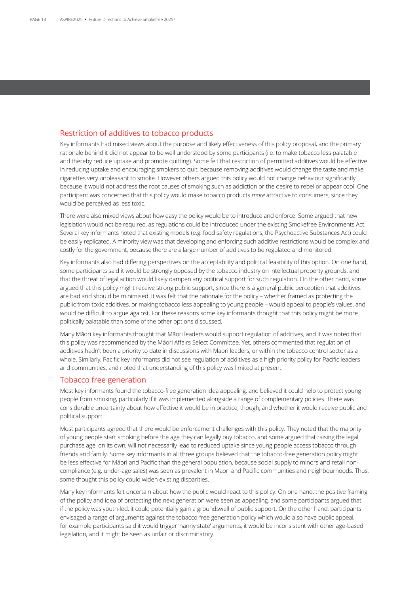### Restriction of additives to tobacco products

Key informants had mixed views about the purpose and likely effectiveness of this policy proposal, and the primary rationale behind it did not appear to be well understood by some participants (i.e. to make tobacco less palatable and thereby reduce uptake and promote quitting). Some felt that restriction of permitted additives would be effective in reducing uptake and encouraging smokers to quit, because removing additives would change the taste and make cigarettes very unpleasant to smoke. However others argued this policy would not change behaviour significantly because it would not address the root causes of smoking such as addiction or the desire to rebel or appear cool. One participant was concerned that this policy would make tobacco products *more* attractive to consumers, since they would be perceived as less toxic.

There were also mixed views about how easy the policy would be to introduce and enforce. Some argued that new legislation would not be required, as regulations could be introduced under the existing Smokefree Environments Act. Several key informants noted that existing models (e.g. food safety regulations, the Psychoactive Substances Act) could be easily replicated. A minority view was that developing and enforcing such additive restrictions would be complex and costly for the government, because there are a large number of additives to be regulated and monitored.

Key informants also had differing perspectives on the acceptability and political feasibility of this option. On one hand, some participants said it would be strongly opposed by the tobacco industry on intellectual property grounds, and that the threat of legal action would likely dampen any political support for such regulation. On the other hand, some argued that this policy might receive strong public support, since there is a general public perception that additives are bad and should be minimised. It was felt that the rationale for the policy – whether framed as protecting the public from toxic additives, or making tobacco less appealing to young people – would appeal to people's values, and would be difficult to argue against. For these reasons some key informants thought that this policy might be more politically palatable than some of the other options discussed.

Many Māori key informants thought that Māori leaders would support regulation of additives, and it was noted that this policy was recommended by the Māori Affairs Select Committee. Yet, others commented that regulation of additives hadn't been a priority to date in discussions with Māori leaders, or within the tobacco control sector as a whole. Similarly, Pacific key informants did not see regulation of additives as a high priority policy for Pacific leaders and communities, and noted that understanding of this policy was limited at present.

### Tobacco free generation

Most key informants found the tobacco-free generation idea appealing, and believed it could help to protect young people from smoking, particularly if it was implemented alongside a range of complementary policies. There was considerable uncertainty about how effective it would be in practice, though, and whether it would receive public and political support.

Most participants agreed that there would be enforcement challenges with this policy. They noted that the majority of young people start smoking before the age they can legally buy tobacco, and some argued that raising the legal purchase age, on its own, will not necessarily lead to reduced uptake since young people access tobacco through friends and family. Some key informants in all three groups believed that the tobacco-free generation policy might be less effective for Māori and Pacific than the general population, because social supply to minors and retail noncompliance (e.g. under-age sales) was seen as prevalent in Māori and Pacific communities and neighbourhoods. Thus, some thought this policy could widen existing disparities.

Many key informants felt uncertain about how the public would react to this policy. On one hand, the positive framing of the policy and idea of protecting the next generation were seen as appealing, and some participants argued that if the policy was youth-led, it could potentially gain a groundswell of public support. On the other hand, participants envisaged a range of arguments against the tobacco-free generation policy which would also have public appeal, for example participants said it would trigger 'nanny state' arguments, it would be inconsistent with other age-based legislation, and it might be seen as unfair or discriminatory.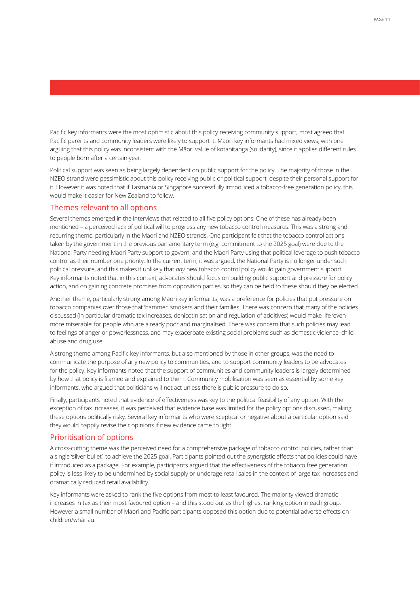Pacific key informants were the most optimistic about this policy receiving community support; most agreed that Pacific parents and community leaders were likely to support it. Māori key informants had mixed views, with one arguing that this policy was inconsistent with the Māori value of kotahitanga (solidarity), since it applies different rules to people born after a certain year.

Political support was seen as being largely dependent on public support for the policy. The majority of those in the NZEO strand were pessimistic about this policy receiving public or political support, despite their personal support for it. However it was noted that if Tasmania or Singapore successfully introduced a tobacco-free generation policy, this would make it easier for New Zealand to follow.

### Themes relevant to all options

Several themes emerged in the interviews that related to all five policy options. One of these has already been mentioned – a perceived lack of political will to progress any new tobacco control measures. This was a strong and recurring theme, particularly in the Māori and NZEO strands. One participant felt that the tobacco control actions taken by the government in the previous parliamentary term (e.g. commitment to the 2025 goal) were due to the National Party needing Māori Party support to govern, and the Māori Party using that political leverage to push tobacco control as their number one priority. In the current term, it was argued, the National Party is no longer under such political pressure, and this makes it unlikely that *any* new tobacco control policy would gain government support. Key informants noted that in this context, advocates should focus on building public support and pressure for policy action, and on gaining concrete promises from opposition parties, so they can be held to these should they be elected.

Another theme, particularly strong among Māori key informants, was a preference for policies that put pressure on tobacco companies over those that 'hammer' smokers and their families. There was concern that many of the policies discussed (in particular dramatic tax increases, denicotinisation and regulation of additives) would make life 'even more miserable' for people who are already poor and marginalised. There was concern that such policies may lead to feelings of anger or powerlessness, and may exacerbate existing social problems such as domestic violence, child abuse and drug use.

A strong theme among Pacific key informants, but also mentioned by those in other groups, was the need to communicate the purpose of any new policy to communities, and to support community leaders to be advocates for the policy. Key informants noted that the support of communities and community leaders is largely determined by how that policy is framed and explained to them. Community mobilisation was seen as essential by some key informants, who argued that politicians will not act unless there is public pressure to do so.

Finally, participants noted that evidence of effectiveness was key to the political feasibility of any option. With the exception of tax increases, it was perceived that evidence base was limited for the policy options discussed, making these options politically risky. Several key informants who were sceptical or negative about a particular option said they would happily revise their opinions if new evidence came to light.

### Prioritisation of options

A cross-cutting theme was the perceived need for a comprehensive package of tobacco control policies, rather than a single 'silver bullet', to achieve the 2025 goal. Participants pointed out the synergistic effects that policies could have if introduced as a package. For example, participants argued that the effectiveness of the tobacco free generation policy is less likely to be undermined by social supply or underage retail sales in the context of large tax increases and dramatically reduced retail availability.

Key informants were asked to rank the five options from most to least favoured. The majority viewed dramatic increases in tax as their most favoured option – and this stood out as the highest ranking option in each group. However a small number of Māori and Pacific participants opposed this option due to potential adverse effects on children/whānau.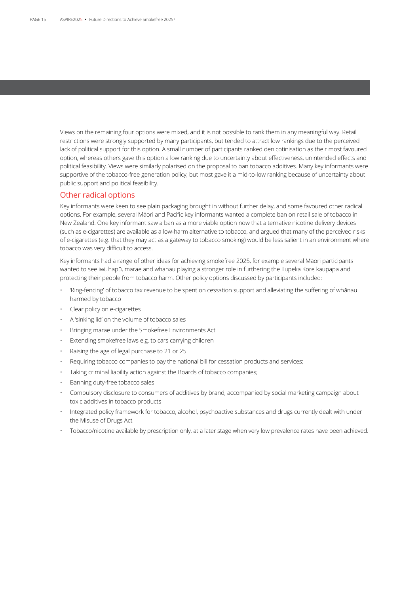Views on the remaining four options were mixed, and it is not possible to rank them in any meaningful way. Retail restrictions were strongly supported by many participants, but tended to attract low rankings due to the perceived lack of political support for this option. A small number of participants ranked denicotinisation as their most favoured option, whereas others gave this option a low ranking due to uncertainty about effectiveness, unintended effects and political feasibility. Views were similarly polarised on the proposal to ban tobacco additives. Many key informants were supportive of the tobacco-free generation policy, but most gave it a mid-to-low ranking because of uncertainty about public support and political feasibility.

### Other radical options

Key informants were keen to see plain packaging brought in without further delay, and some favoured other radical options. For example, several Māori and Pacific key informants wanted a complete ban on retail sale of tobacco in New Zealand. One key informant saw a ban as a more viable option now that alternative nicotine delivery devices (such as e-cigarettes) are available as a low-harm alternative to tobacco, and argued that many of the perceived risks of e-cigarettes (e.g. that they may act as a gateway to tobacco smoking) would be less salient in an environment where tobacco was very difficult to access.

Key informants had a range of other ideas for achieving smokefree 2025, for example several Māori participants wanted to see iwi, hapū, marae and whanau playing a stronger role in furthering the Tupeka Kore kaupapa and protecting their people from tobacco harm. Other policy options discussed by participants included:

- 'Ring-fencing' of tobacco tax revenue to be spent on cessation support and alleviating the suffering of whānau harmed by tobacco
- Clear policy on e-cigarettes
- A 'sinking lid' on the volume of tobacco sales
- Bringing marae under the Smokefree Environments Act
- Extending smokefree laws e.g. to cars carrying children
- Raising the age of legal purchase to 21 or 25
- Requiring tobacco companies to pay the national bill for cessation products and services;
- Taking criminal liability action against the Boards of tobacco companies;
- Banning duty-free tobacco sales
- Compulsory disclosure to consumers of additives by brand, accompanied by social marketing campaign about toxic additives in tobacco products
- Integrated policy framework for tobacco, alcohol, psychoactive substances and drugs currently dealt with under the Misuse of Drugs Act
- Tobacco/nicotine available by prescription only, at a later stage when very low prevalence rates have been achieved.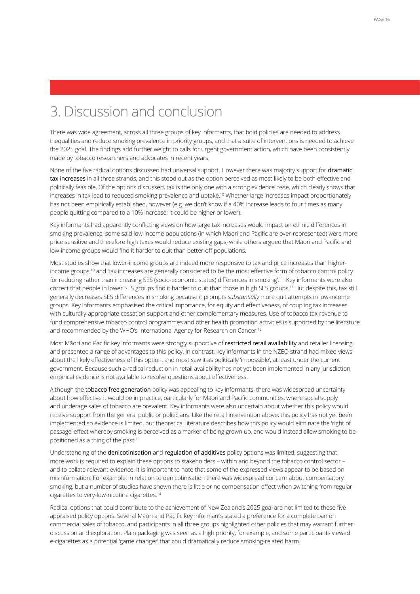# 3. Discussion and conclusion

There was wide agreement, across all three groups of key informants, that bold policies are needed to address inequalities and reduce smoking prevalence in priority groups, and that a suite of interventions is needed to achieve the 2025 goal. The findings add further weight to calls for urgent government action, which have been consistently made by tobacco researchers and advocates in recent years.

None of the five radical options discussed had universal support. However there was majority support for dramatic tax increases in all three strands, and this stood out as the option perceived as most likely to be both effective and politically feasible. Of the options discussed, tax is the only one with a strong evidence base, which clearly shows that increases in tax lead to reduced smoking prevalence and uptake.10 Whether large increases impact proportionately has not been empirically established, however (e.g. we don't know if a 40% increase leads to four times as many people quitting compared to a 10% increase; it could be higher or lower).

Key informants had apparently conflicting views on how large tax increases would impact on ethnic differences in smoking prevalence; some said low-income populations (in which Māori and Pacific are over-represented) were more price sensitive and therefore high taxes would reduce existing gaps, while others argued that Māori and Pacific and low-income groups would find it harder to quit than better-off populations.

Most studies show that lower-income groups are indeed more responsive to tax and price increases than higherincome groups,<sup>10</sup> and 'tax increases are generally considered to be the most effective form of tobacco control policy for reducing rather than increasing SES (socio-economic status) differences in smoking'.<sup>11</sup> Key informants were also correct that people in lower SES groups find it harder to quit than those in high SES groups.11 But despite this, tax still generally decreases SES differences in smoking because it prompts *substantially* more quit attempts in low-income groups. Key informants emphasised the critical importance, for equity and effectiveness, of coupling tax increases with culturally-appropriate cessation support and other complementary measures. Use of tobacco tax revenue to fund comprehensive tobacco control programmes and other health promotion activities is supported by the literature and recommended by the WHO's International Agency for Research on Cancer.<sup>12</sup>

Most Māori and Pacific key informants were strongly supportive of restricted retail availability and retailer licensing, and presented a range of advantages to this policy. In contrast, key informants in the NZEO strand had mixed views about the likely effectiveness of this option, and most saw it as politically 'impossible', at least under the current government. Because such a radical reduction in retail availability has not yet been implemented in any jurisdiction, empirical evidence is not available to resolve questions about effectiveness.

Although the tobacco free generation policy was appealing to key informants, there was widespread uncertainty about how effective it would be in practice, particularly for Māori and Pacific communities, where social supply and underage sales of tobacco are prevalent. Key informants were also uncertain about whether this policy would receive support from the general public or politicians. Like the retail intervention above, this policy has not yet been implemented so evidence is limited, but theoretical literature describes how this policy would eliminate the 'right of passage' effect whereby smoking is perceived as a marker of being grown up, and would instead allow smoking to be positioned as a thing of the past.<sup>13</sup>

Understanding of the denicotinisation and regulation of additives policy options was limited, suggesting that more work is required to explain these options to stakeholders – within and beyond the tobacco control sector – and to collate relevant evidence. It is important to note that some of the expressed views appear to be based on misinformation. For example, in relation to denicotinisation there was widespread concern about compensatory smoking, but a number of studies have shown there is little or no compensation effect when switching from regular cigarettes to very-low-nicotine cigarettes.14

Radical options that could contribute to the achievement of New Zealand's 2025 goal are not limited to these five appraised policy options. Several Māori and Pacific key informants stated a preference for a complete ban on commercial sales of tobacco, and participants in all three groups highlighted other policies that may warrant further discussion and exploration. Plain packaging was seen as a high priority, for example, and some participants viewed e-cigarettes as a potential 'game changer' that could dramatically reduce smoking-related harm.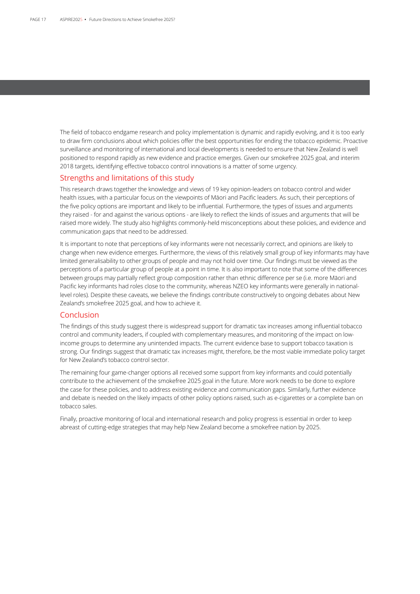The field of tobacco endgame research and policy implementation is dynamic and rapidly evolving, and it is too early to draw firm conclusions about which policies offer the best opportunities for ending the tobacco epidemic. Proactive surveillance and monitoring of international and local developments is needed to ensure that New Zealand is well positioned to respond rapidly as new evidence and practice emerges. Given our smokefree 2025 goal, and interim 2018 targets, identifying effective tobacco control innovations is a matter of some urgency.

### Strengths and limitations of this study

This research draws together the knowledge and views of 19 key opinion-leaders on tobacco control and wider health issues, with a particular focus on the viewpoints of Māori and Pacific leaders. As such, their perceptions of the five policy options are important and likely to be influential. Furthermore, the types of issues and arguments they raised - for and against the various options - are likely to reflect the kinds of issues and arguments that will be raised more widely. The study also highlights commonly-held misconceptions about these policies, and evidence and communication gaps that need to be addressed.

It is important to note that perceptions of key informants were not necessarily correct, and opinions are likely to change when new evidence emerges. Furthermore, the views of this relatively small group of key informants may have limited generalisability to other groups of people and may not hold over time. Our findings must be viewed as the perceptions of a particular group of people at a point in time. It is also important to note that some of the differences between groups may partially reflect group composition rather than ethnic difference per se (i.e. more Māori and Pacific key informants had roles close to the community, whereas NZEO key informants were generally in nationallevel roles). Despite these caveats, we believe the findings contribute constructively to ongoing debates about New Zealand's smokefree 2025 goal, and how to achieve it.

### Conclusion

The findings of this study suggest there is widespread support for dramatic tax increases among influential tobacco control and community leaders, if coupled with complementary measures, and monitoring of the impact on lowincome groups to determine any unintended impacts. The current evidence base to support tobacco taxation is strong. Our findings suggest that dramatic tax increases might, therefore, be the most viable immediate policy target for New Zealand's tobacco control sector.

The remaining four game-changer options all received some support from key informants and could potentially contribute to the achievement of the smokefree 2025 goal in the future. More work needs to be done to explore the case for these policies, and to address existing evidence and communication gaps. Similarly, further evidence and debate is needed on the likely impacts of other policy options raised, such as e-cigarettes or a complete ban on tobacco sales.

Finally, proactive monitoring of local and international research and policy progress is essential in order to keep abreast of cutting-edge strategies that may help New Zealand become a smokefree nation by 2025.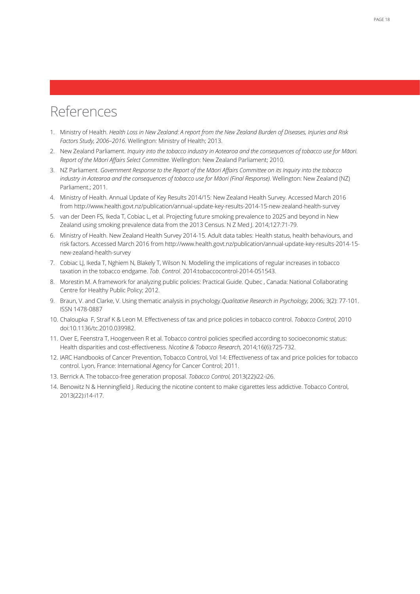# References

- 1. Ministry of Health. *Health Loss in New Zealand: A report from the New Zealand Burden of Diseases, Injuries and Risk Factors Study, 2006–2016*. Wellington: Ministry of Health; 2013.
- 2. New Zealand Parliament. *Inquiry into the tobacco industry in Aotearoa and the consequences of tobacco use for Māori. Report of the Māori Affairs Select Committee*. Wellington: New Zealand Parliament; 2010.
- 3. NZ Parliament. *Government Response to the Report of the Māori Affairs Committee on its Inquiry into the tobacco industry in Aotearoa and the consequences of tobacco use for Māori (Final Response)*. Wellington: New Zealand (NZ) Parliament.; 2011.
- 4. Ministry of Health. Annual Update of Key Results 2014/15: New Zealand Health Survey. Accessed March 2016 from http://www.health.govt.nz/publication/annual-update-key-results-2014-15-new-zealand-health-survey
- 5. van der Deen FS, Ikeda T, Cobiac L, et al. Projecting future smoking prevalence to 2025 and beyond in New Zealand using smoking prevalence data from the 2013 Census. N Z Med J. 2014;127:71-79.
- 6. Ministry of Health. New Zealand Health Survey 2014-15. Adult data tables: Health status, health behaviours, and risk factors. Accessed March 2016 from http://www.health.govt.nz/publication/annual-update-key-results-2014-15 new-zealand-health-survey
- 7. Cobiac LJ, Ikeda T, Nghiem N, Blakely T, Wilson N. Modelling the implications of regular increases in tobacco taxation in the tobacco endgame. *Tob. Control.* 2014:tobaccocontrol-2014-051543.
- 8. Morestin M. A framework for analyzing public policies: Practical Guide. Qubec , Canada: National Collaborating Centre for Healthy Public Policy; 2012.
- 9. Braun, V. and Clarke, V. Using thematic analysis in psychology.*Qualitative Research in Psychology,* 2006; 3(2): 77-101. ISSN 1478-0887
- 10. Chaloupka F, Straif K & Leon M. Effectiveness of tax and price policies in tobacco control. *Tobacco Control,* 2010 doi:10.1136/tc.2010.039982.
- 11. Over E, Feenstra T, Hoogenveen R et al. Tobacco control policies specified according to socioeconomic status: Health disparities and cost-effectiveness. *Nicotine & Tobacco Research,* 2014;16(6):725-732.
- 12. IARC Handbooks of Cancer Prevention, Tobacco Control, Vol 14: Effectiveness of tax and price policies for tobacco control. Lyon, France: International Agency for Cancer Control; 2011.
- 13. Berrick A. The tobacco-free generation proposal. *Tobacco Control,* 2013(22)i22-i26.
- 14. Benowitz N & Henningfield J. Reducing the nicotine content to make cigarettes less addictive. Tobacco Control, 2013(22):i14-i17.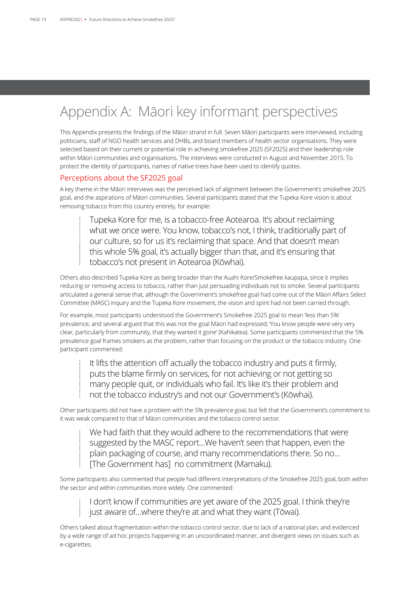# Appendix A: Māori key informant perspectives

This Appendix presents the findings of the Māori strand in full. Seven Māori participants were interviewed, including politicians, staff of NGO health services and DHBs, and board members of health sector organisations. They were selected based on their current or potential role in achieving smokefree 2025 (SF2025) and their leadership role within Māori communities and organisations. The interviews were conducted in August and November 2015. To protect the identity of participants, names of native trees have been used to identify quotes.

### Perceptions about the SF2025 goal

A key theme in the Māori interviews was the perceived lack of alignment between the Government's smokefree 2025 goal, and the aspirations of Māori communities. Several participants stated that the Tupeka Kore vision is about removing tobacco from this country entirely, for example:

Tupeka Kore for me, is a tobacco-free Aotearoa. It's about reclaiming what we once were. You know, tobacco's not, I think, traditionally part of our culture, so for us it's reclaiming that space. And that doesn't mean this whole 5% goal, it's actually bigger than that, and it's ensuring that tobacco's not present in Aotearoa (Kōwhai).

Others also described Tupeka Kore as being broader than the Auahi Kore/Smokefree kaupapa, since it implies reducing or removing access to tobacco, rather than just persuading individuals not to smoke. Several participants articulated a general sense that, although the Government's smokefree goal had come out of the Māori Affairs Select Committee (MASC) inquiry and the Tupeka Kore movement, the vision and spirit had not been carried through.

For example, most participants understood the Government's Smokefree 2025 goal to mean 'less than 5%' prevalence, and several argued that this was not the goal Māori had expressed; 'You know people were very very clear, particularly from community, that they wanted it gone' (Kahikatea). Some participants commented that the 5% prevalence goal frames smokers as the problem, rather than focusing on the product or the tobacco industry. One participant commented:

It lifts the attention off actually the tobacco industry and puts it firmly, puts the blame firmly on services, for not achieving or not getting so many people quit, or individuals who fail. It's like it's their problem and not the tobacco industry's and not our Government's (Kōwhai).

Other participants did not have a problem with the 5% prevalence goal, but felt that the Government's commitment to it was weak compared to that of Māori communities and the tobacco control sector.

We had faith that they would adhere to the recommendations that were suggested by the MASC report…We haven't seen that happen, even the plain packaging of course, and many recommendations there. So no… [The Government has] no commitment (Mamaku).

Some participants also commented that people had different interpretations of the Smokefree 2025 goal, both within the sector and within communities more widely. One commented:

I don't know if communities are yet aware of the 2025 goal. I think they're just aware of…where they're at and what they want (Tōwai).

Others talked about fragmentation within the tobacco control sector, due to lack of a national plan, and evidenced by a wide range of ad hoc projects happening in an uncoordinated manner, and divergent views on issues such as e-cigarettes.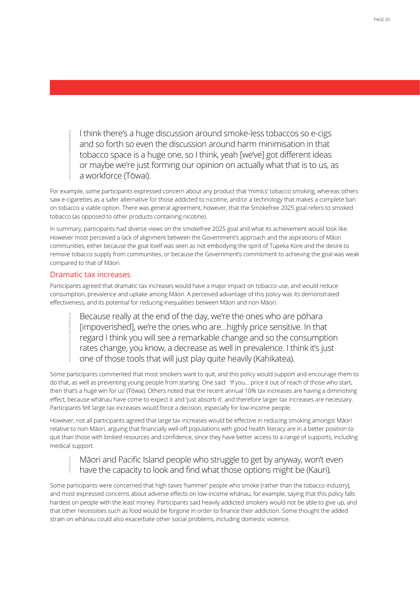I think there's a huge discussion around smoke-less tobaccos so e-cigs and so forth so even the discussion around harm minimisation in that tobacco space is a huge one, so I think, yeah [we've] got different ideas or maybe we're just forming our opinion on actually what that is to us, as a workforce (Tōwai).

For example, some participants expressed concern about any product that 'mimics' tobacco smoking, whereas others saw e-cigarettes as a safer alternative for those addicted to nicotine, and/or a technology that makes a complete ban on tobacco a viable option. There was general agreement, however, that the Smokefree 2025 goal refers to smoked tobacco (as opposed to other products containing nicotine).

In summary, participants had diverse views on the smokefree 2025 goal and what its achievement would look like. However most perceived a lack of alignment between the Government's approach and the aspirations of Māori communities, either because the goal itself was seen as not embodying the spirit of Tupeka Kore and the desire to remove tobacco supply from communities, or because the Government's commitment to achieving the goal was weak compared to that of Māori.

### Dramatic tax increases

Participants agreed that dramatic tax increases would have a major impact on tobacco use, and would reduce consumption, prevalence and uptake among Māori. A perceived advantage of this policy was its demonstrated effectiveness, and its potential for reducing inequalities between Māori and non-Māori.

Because really at the end of the day, we're the ones who are pōhara [impoverished], we're the ones who are…highly price sensitive. In that regard I think you will see a remarkable change and so the consumption rates change, you know, a decrease as well in prevalence. I think it's just one of those tools that will just play quite heavily (Kahikatea).

Some participants commented that most smokers want to quit, and this policy would support and encourage them to do that, as well as preventing young people from starting. One said: 'If you… price it out of reach of those who start, then that's a huge win for us' (Tōwai). Others noted that the recent annual 10% tax increases are having a diminishing effect, because whānau have come to expect it and 'just absorb it', and therefore larger tax increases are necessary. Participants felt large tax increases would force a decision, especially for low-income people.

However, not all participants agreed that large tax increases would be effective in reducing smoking amongst Māori relative to non-Māori, arguing that financially well-off populations with good health literacy are in a better position to quit than those with limited resources and confidence, since they have better access to a range of supports, including medical support.

## Māori and Pacific Island people who struggle to get by anyway, won't even have the capacity to look and find what those options might be (Kauri).

Some participants were concerned that high taxes 'hammer' people who smoke (rather than the tobacco industry), and most expressed concerns about adverse effects on low-income whānau, for example, saying that this policy falls hardest on people with the least money. Participants said heavily addicted smokers would not be able to give up, and that other necessities such as food would be forgone in order to finance their addiction. Some thought the added strain on whānau could also exacerbate other social problems, including domestic violence.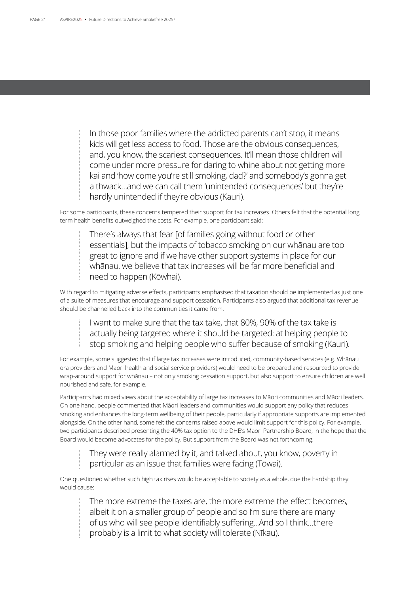In those poor families where the addicted parents can't stop, it means kids will get less access to food. Those are the obvious consequences, and, you know, the scariest consequences. It'll mean those children will come under more pressure for daring to whine about not getting more kai and 'how come you're still smoking, dad?' and somebody's gonna get a thwack…and we can call them 'unintended consequences' but they're hardly unintended if they're obvious (Kauri).

For some participants, these concerns tempered their support for tax increases. Others felt that the potential long term health benefits outweighed the costs. For example, one participant said:

There's always that fear [of families going without food or other essentials], but the impacts of tobacco smoking on our whānau are too great to ignore and if we have other support systems in place for our whānau, we believe that tax increases will be far more beneficial and need to happen (Kōwhai).

With regard to mitigating adverse effects, participants emphasised that taxation should be implemented as just one of a suite of measures that encourage and support cessation. Participants also argued that additional tax revenue should be channelled back into the communities it came from.

I want to make sure that the tax take, that 80%, 90% of the tax take is actually being targeted where it should be targeted: at helping people to stop smoking and helping people who suffer because of smoking (Kauri).

For example, some suggested that if large tax increases were introduced, community-based services (e.g. Whānau ora providers and Māori health and social service providers) would need to be prepared and resourced to provide wrap-around support for whānau – not only smoking cessation support, but also support to ensure children are well nourished and safe, for example.

Participants had mixed views about the acceptability of large tax increases to Māori communities and Māori leaders. On one hand, people commented that Māori leaders and communities would support any policy that reduces smoking and enhances the long-term wellbeing of their people, particularly if appropriate supports are implemented alongside. On the other hand, some felt the concerns raised above would limit support for this policy. For example, two participants described presenting the 40% tax option to the DHB's Māori Partnership Board, in the hope that the Board would become advocates for the policy. But support from the Board was not forthcoming.

They were really alarmed by it, and talked about, you know, poverty in particular as an issue that families were facing (Tōwai).

One questioned whether such high tax rises would be acceptable to society as a whole, due the hardship they would cause:

> The more extreme the taxes are, the more extreme the effect becomes, albeit it on a smaller group of people and so I'm sure there are many of us who will see people identifiably suffering...And so I think…there probably is a limit to what society will tolerate (Nīkau).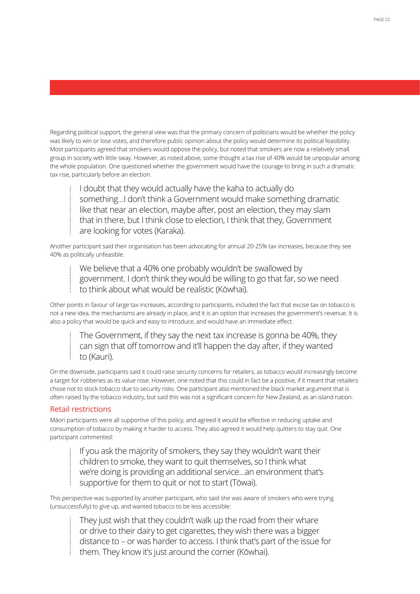Regarding political support, the general view was that the primary concern of politicians would be whether the policy was likely to win or lose votes, and therefore public opinion about the policy would determine its political feasibility. Most participants agreed that smokers would oppose the policy, but noted that smokers are now a relatively small group in society with little sway. However, as noted above, some thought a tax rise of 40% would be unpopular among the whole population. One questioned whether the government would have the courage to bring in such a dramatic tax rise, particularly before an election.

I doubt that they would actually have the kaha to actually do something…I don't think a Government would make something dramatic like that near an election, maybe after, post an election, they may slam that in there, but I think close to election, I think that they, Government are looking for votes (Karaka).

Another participant said their organisation has been advocating for annual 20-25% tax increases, because they see 40% as politically unfeasible.

We believe that a 40% one probably wouldn't be swallowed by government. I don't think they would be willing to go that far, so we need to think about what would be realistic (Kōwhai).

Other points in favour of large tax increases, according to participants, included the fact that excise tax on tobacco is not a new idea, the mechanisms are already in place, and it is an option that increases the government's revenue. It is also a policy that would be quick and easy to introduce, and would have an immediate effect.

The Government, if they say the next tax increase is gonna be 40%, they can sign that off tomorrow and it'll happen the day after, if they wanted to (Kauri).

On the downside, participants said it could raise security concerns for retailers, as tobacco would increasingly become a target for robberies as its value rose. However, one noted that this could in fact be a positive, if it meant that retailers chose not to stock tobacco due to security risks. One participant also mentioned the black market argument that is often raised by the tobacco industry, but said this was not a significant concern for New Zealand, as an island nation.

### Retail restrictions

Māori participants were all supportive of this policy, and agreed it would be effective in reducing uptake and consumption of tobacco by making it harder to access. They also agreed it would help quitters to stay quit. One participant commented:

If you ask the majority of smokers, they say they wouldn't want their children to smoke, they want to quit themselves, so I think what we're doing is providing an additional service…an environment that's supportive for them to quit or not to start (Tōwai).

This perspective was supported by another participant, who said she was aware of smokers who were trying (unsuccessfully) to give up, and wanted tobacco to be less accessible:

They just wish that they couldn't walk up the road from their whare or drive to their dairy to get cigarettes, they wish there was a bigger distance to – or was harder to access. I think that's part of the issue for them. They know it's just around the corner (Kōwhai).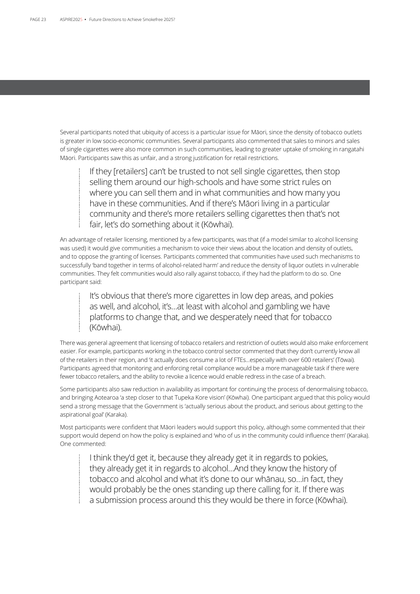Several participants noted that ubiquity of access is a particular issue for Māori, since the density of tobacco outlets is greater in low socio-economic communities. Several participants also commented that sales to minors and sales of single cigarettes were also more common in such communities, leading to greater uptake of smoking in rangatahi Māori. Participants saw this as unfair, and a strong justification for retail restrictions.

If they [retailers] can't be trusted to not sell single cigarettes, then stop selling them around our high-schools and have some strict rules on where you can sell them and in what communities and how many you have in these communities. And if there's Māori living in a particular community and there's more retailers selling cigarettes then that's not fair, let's do something about it (Kōwhai).

An advantage of retailer licensing, mentioned by a few participants, was that (if a model similar to alcohol licensing was used) it would give communities a mechanism to voice their views about the location and density of outlets, and to oppose the granting of licenses. Participants commented that communities have used such mechanisms to successfully 'band together in terms of alcohol-related harm' and reduce the density of liquor outlets in vulnerable communities. They felt communities would also rally against tobacco, if they had the platform to do so. One participant said:

It's obvious that there's more cigarettes in low dep areas, and pokies as well, and alcohol, it's…at least with alcohol and gambling we have platforms to change that, and we desperately need that for tobacco (Kōwhai).

There was general agreement that licensing of tobacco retailers and restriction of outlets would also make enforcement easier. For example, participants working in the tobacco control sector commented that they don't currently know all of the retailers in their region, and 'it actually does consume a lot of FTEs...especially with over 600 retailers' (Tōwai). Participants agreed that monitoring and enforcing retail compliance would be a more manageable task if there were fewer tobacco retailers, and the ability to revoke a licence would enable redress in the case of a breach.

Some participants also saw reduction in availability as important for continuing the process of denormalising tobacco, and bringing Aotearoa 'a step closer to that Tupeka Kore vision' (Kōwhai). One participant argued that this policy would send a strong message that the Government is 'actually serious about the product, and serious about getting to the aspirational goal' (Karaka).

Most participants were confident that Māori leaders would support this policy, although some commented that their support would depend on how the policy is explained and 'who of us in the community could influence them' (Karaka). One commented:

I think they'd get it, because they already get it in regards to pokies, they already get it in regards to alcohol…And they know the history of tobacco and alcohol and what it's done to our whānau, so…in fact, they would probably be the ones standing up there calling for it. If there was a submission process around this they would be there in force (Kōwhai).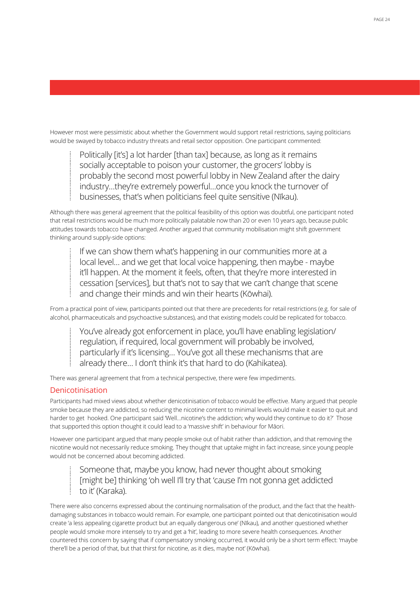However most were pessimistic about whether the Government would support retail restrictions, saying politicians would be swayed by tobacco industry threats and retail sector opposition. One participant commented:

Politically [it's] a lot harder [than tax] because, as long as it remains socially acceptable to poison your customer, the grocers' lobby is probably the second most powerful lobby in New Zealand after the dairy industry…they're extremely powerful…once you knock the turnover of businesses, that's when politicians feel quite sensitive (Nīkau).

Although there was general agreement that the political feasibility of this option was doubtful, one participant noted that retail restrictions would be much more politically palatable now than 20 or even 10 years ago, because public attitudes towards tobacco have changed. Another argued that community mobilisation might shift government thinking around supply-side options:

If we can show them what's happening in our communities more at a local level… and we get that local voice happening, then maybe - maybe it'll happen. At the moment it feels, often, that they're more interested in cessation [services], but that's not to say that we can't change that scene and change their minds and win their hearts (Kōwhai).

From a practical point of view, participants pointed out that there are precedents for retail restrictions (e.g. for sale of alcohol, pharmaceuticals and psychoactive substances), and that existing models could be replicated for tobacco.

You've already got enforcement in place, you'll have enabling legislation/ regulation, if required, local government will probably be involved, particularly if it's licensing… You've got all these mechanisms that are already there… I don't think it's that hard to do (Kahikatea).

There was general agreement that from a technical perspective, there were few impediments.

### Denicotinisation

Participants had mixed views about whether denicotinisation of tobacco would be effective. Many argued that people smoke because they are addicted, so reducing the nicotine content to minimal levels would make it easier to quit and harder to get hooked. One participant said 'Well…nicotine's the addiction; why would they continue to do it?' Those that supported this option thought it could lead to a 'massive shift' in behaviour for Māori.

However one participant argued that many people smoke out of habit rather than addiction, and that removing the nicotine would not necessarily reduce smoking. They thought that uptake might in fact increase, since young people would not be concerned about becoming addicted.

Someone that, maybe you know, had never thought about smoking [might be] thinking 'oh well I'll try that 'cause I'm not gonna get addicted to it' (Karaka).

There were also concerns expressed about the continuing normalisation of the product, and the fact that the healthdamaging substances in tobacco would remain. For example, one participant pointed out that denicotinisation would create 'a less appealing cigarette product but an equally dangerous one' (Nīkau), and another questioned whether people would smoke more intensely to try and get a 'hit', leading to more severe health consequences. Another countered this concern by saying that if compensatory smoking occurred, it would only be a short term effect: 'maybe there'll be a period of that, but that thirst for nicotine, as it dies, maybe not' (Kōwhai).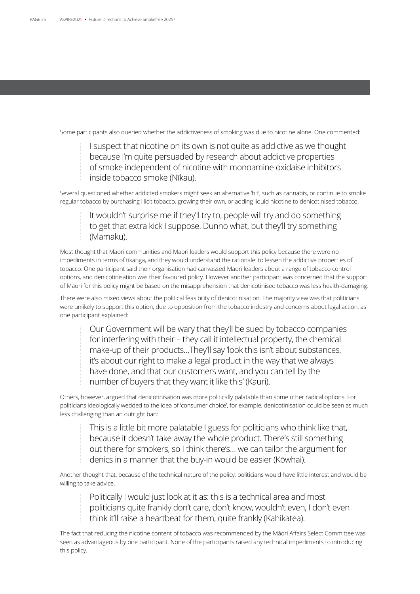Some participants also queried whether the addictiveness of smoking was due to nicotine alone. One commented:

I suspect that nicotine on its own is not quite as addictive as we thought because I'm quite persuaded by research about addictive properties of smoke independent of nicotine with monoamine oxidaise inhibitors inside tobacco smoke (Nīkau).

Several questioned whether addicted smokers might seek an alternative 'hit', such as cannabis, or continue to smoke regular tobacco by purchasing illicit tobacco, growing their own, or adding liquid nicotine to denicotinised tobacco.

It wouldn't surprise me if they'll try to, people will try and do something to get that extra kick I suppose. Dunno what, but they'll try something (Mamaku).

Most thought that Māori communities and Māori leaders would support this policy because there were no impediments in terms of tikanga, and they would understand the rationale: to lessen the addictive properties of tobacco. One participant said their organisation had canvassed Māori leaders about a range of tobacco control options, and denicotinisation was their favoured policy. However another participant was concerned that the support of Māori for this policy might be based on the misapprehension that denicotinised tobacco was less health-damaging.

There were also mixed views about the political feasibility of denicotinisation. The majority view was that politicians were unlikely to support this option, due to opposition from the tobacco industry and concerns about legal action, as one participant explained:

Our Government will be wary that they'll be sued by tobacco companies for interfering with their – they call it intellectual property, the chemical make-up of their products…They'll say 'look this isn't about substances, it's about our right to make a legal product in the way that we always have done, and that our customers want, and you can tell by the number of buyers that they want it like this' (Kauri).

Others, however, argued that denicotinisation was more politically palatable than some other radical options. For politicians ideologically wedded to the idea of 'consumer choice', for example, denicotinisation could be seen as much less challenging than an outright ban:

This is a little bit more palatable I guess for politicians who think like that, because it doesn't take away the whole product. There's still something out there for smokers, so I think there's… we can tailor the argument for denics in a manner that the buy-in would be easier (Kōwhai).

Another thought that, because of the technical nature of the policy, politicians would have little interest and would be willing to take advice.

Politically I would just look at it as: this is a technical area and most politicians quite frankly don't care, don't know, wouldn't even, I don't even think it'll raise a heartbeat for them, quite frankly (Kahikatea).

The fact that reducing the nicotine content of tobacco was recommended by the Māori Affairs Select Committee was seen as advantageous by one participant. None of the participants raised any technical impediments to introducing this policy.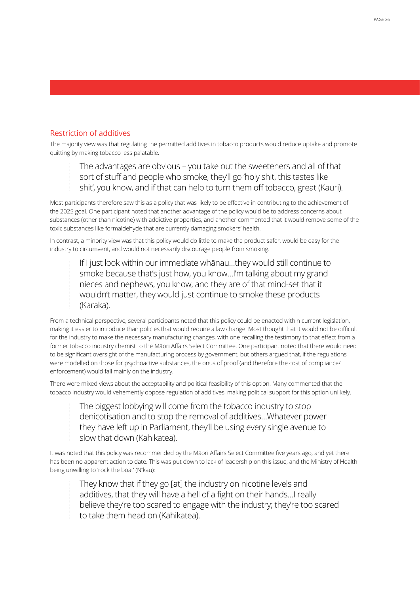## Restriction of additives

The majority view was that regulating the permitted additives in tobacco products would reduce uptake and promote quitting by making tobacco less palatable.

The advantages are obvious – you take out the sweeteners and all of that sort of stuff and people who smoke, they'll go 'holy shit, this tastes like shit', you know, and if that can help to turn them off tobacco, great (Kauri).

Most participants therefore saw this as a policy that was likely to be effective in contributing to the achievement of the 2025 goal. One participant noted that another advantage of the policy would be to address concerns about substances (other than nicotine) with addictive properties, and another commented that it would remove some of the toxic substances like formaldehyde that are currently damaging smokers' health.

In contrast, a minority view was that this policy would do little to make the product safer, would be easy for the industry to circumvent, and would not necessarily discourage people from smoking.

If I just look within our immediate whānau…they would still continue to smoke because that's just how, you know…I'm talking about my grand nieces and nephews, you know, and they are of that mind-set that it wouldn't matter, they would just continue to smoke these products (Karaka).

From a technical perspective, several participants noted that this policy could be enacted within current legislation, making it easier to introduce than policies that would require a law change. Most thought that it would not be difficult for the industry to make the necessary manufacturing changes, with one recalling the testimony to that effect from a former tobacco industry chemist to the Māori Affairs Select Committee. One participant noted that there would need to be significant oversight of the manufacturing process by government, but others argued that, if the regulations were modelled on those for psychoactive substances, the onus of proof (and therefore the cost of compliance/ enforcement) would fall mainly on the industry.

There were mixed views about the acceptability and political feasibility of this option. Many commented that the tobacco industry would vehemently oppose regulation of additives, making political support for this option unlikely.

The biggest lobbying will come from the tobacco industry to stop denicotisation and to stop the removal of additives…Whatever power they have left up in Parliament, they'll be using every single avenue to slow that down (Kahikatea).

It was noted that this policy was recommended by the Māori Affairs Select Committee five years ago, and yet there has been no apparent action to date. This was put down to lack of leadership on this issue, and the Ministry of Health being unwilling to 'rock the boat' (Nīkau):

They know that if they go [at] the industry on nicotine levels and additives, that they will have a hell of a fight on their hands…I really believe they're too scared to engage with the industry; they're too scared to take them head on (Kahikatea).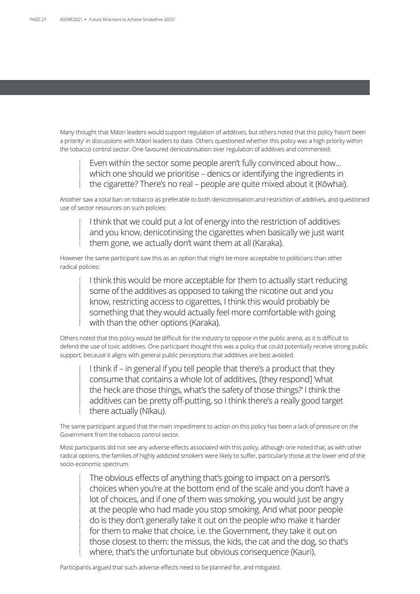Many thought that Māori leaders would support regulation of additives, but others noted that this policy 'hasn't been a priority' in discussions with Māori leaders to date. Others questioned whether this policy was a high priority within the tobacco control sector. One favoured denicotinisation over regulation of additives and commented:

Even within the sector some people aren't fully convinced about how… which one should we prioritise – denics or identifying the ingredients in the cigarette? There's no real – people are quite mixed about it (Kōwhai).

Another saw a total ban on tobacco as preferable to both denicotinisation and restriction of additives, and questioned use of sector resources on such policies:

I think that we could put a lot of energy into the restriction of additives and you know, denicotinising the cigarettes when basically we just want them gone, we actually don't want them at all (Karaka).

However the same participant saw this as an option that might be more acceptable to politicians than other radical policies:

> I think this would be more acceptable for them to actually start reducing some of the additives as opposed to taking the nicotine out and you know, restricting access to cigarettes, I think this would probably be something that they would actually feel more comfortable with going with than the other options (Karaka).

Others noted that this policy would be difficult for the industry to oppose in the public arena, as it is difficult to defend the use of toxic additives. One participant thought this was a policy that could potentially receive strong public support, because it aligns with general public perceptions that additives are best avoided.

I think if – in general if you tell people that there's a product that they consume that contains a whole lot of additives, [they respond] 'what the heck are those things, what's the safety of those things?' I think the additives can be pretty off-putting, so I think there's a really good target there actually (Nīkau).

The same participant argued that the main impediment to action on this policy has been a lack of pressure on the Government from the tobacco control sector.

Most participants did not see any adverse effects associated with this policy, although one noted that, as with other radical options, the families of highly addicted smokers were likely to suffer, particularly those at the lower end of the socio-economic spectrum.

The obvious effects of anything that's going to impact on a person's choices when you're at the bottom end of the scale and you don't have a lot of choices, and if one of them was smoking, you would just be angry at the people who had made you stop smoking. And what poor people do is they don't generally take it out on the people who make it harder for them to make that choice, i.e. the Government, they take it out on those closest to them: the missus, the kids, the cat and the dog, so that's where, that's the unfortunate but obvious consequence (Kauri).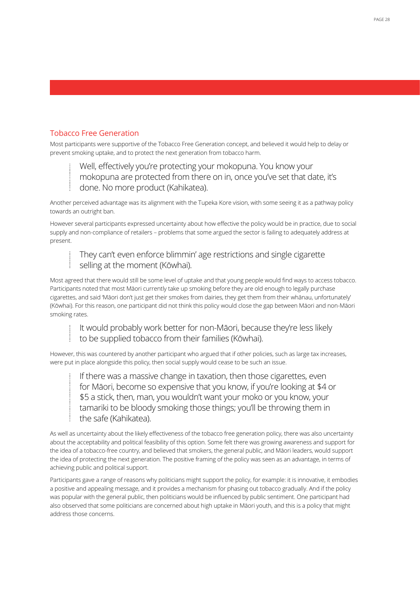### Tobacco Free Generation

Most participants were supportive of the Tobacco Free Generation concept, and believed it would help to delay or prevent smoking uptake, and to protect the next generation from tobacco harm.

Well, effectively you're protecting your mokopuna. You know your mokopuna are protected from there on in, once you've set that date, it's done. No more product (Kahikatea).

Another perceived advantage was its alignment with the Tupeka Kore vision, with some seeing it as a pathway policy towards an outright ban.

However several participants expressed uncertainty about how effective the policy would be in practice, due to social supply and non-compliance of retailers – problems that some argued the sector is failing to adequately address at present.

They can't even enforce blimmin' age restrictions and single cigarette selling at the moment (Kōwhai).

Most agreed that there would still be some level of uptake and that young people would find ways to access tobacco. Participants noted that most Māori currently take up smoking before they are old enough to legally purchase cigarettes, and said 'Māori don't just get their smokes from dairies, they get them from their whānau, unfortunately' (Kōwhai). For this reason, one participant did not think this policy would close the gap between Māori and non-Māori smoking rates.

It would probably work better for non-Māori, because they're less likely to be supplied tobacco from their families (Kōwhai).

However, this was countered by another participant who argued that if other policies, such as large tax increases, were put in place alongside this policy, then social supply would cease to be such an issue.

If there was a massive change in taxation, then those cigarettes, even for Māori, become so expensive that you know, if you're looking at \$4 or \$5 a stick, then, man, you wouldn't want your moko or you know, your tamariki to be bloody smoking those things; you'll be throwing them in the safe (Kahikatea).

As well as uncertainty about the likely effectiveness of the tobacco free generation policy, there was also uncertainty about the acceptability and political feasibility of this option. Some felt there was growing awareness and support for the idea of a tobacco-free country, and believed that smokers, the general public, and Māori leaders, would support the idea of protecting the next generation. The positive framing of the policy was seen as an advantage, in terms of achieving public and political support.

Participants gave a range of reasons why politicians might support the policy, for example: it is innovative, it embodies a positive and appealing message, and it provides a mechanism for phasing out tobacco gradually. And if the policy was popular with the general public, then politicians would be influenced by public sentiment. One participant had also observed that some politicians are concerned about high uptake in Māori youth, and this is a policy that might address those concerns.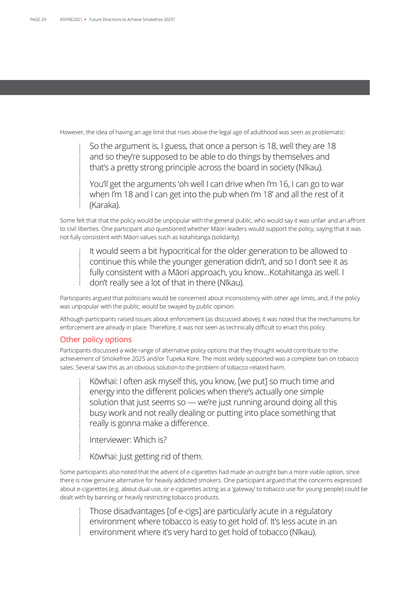However, the idea of having an age limit that rises above the legal age of adulthood was seen as problematic:

So the argument is, I guess, that once a person is 18, well they are 18 and so they're supposed to be able to do things by themselves and that's a pretty strong principle across the board in society (Nīkau).

You'll get the arguments 'oh well I can drive when I'm 16, I can go to war when I'm 18 and I can get into the pub when I'm 18' and all the rest of it (Karaka).

Some felt that that the policy would be unpopular with the general public, who would say it was unfair and an affront to civil liberties. One participant also questioned whether Māori leaders would support the policy, saying that it was not fully consistent with Māori values such as kotahitanga (solidarity):

It would seem a bit hypocritical for the older generation to be allowed to continue this while the younger generation didn't, and so I don't see it as fully consistent with a Māori approach, you know…Kotahitanga as well. I don't really see a lot of that in there (Nīkau).

Participants argued that politicians would be concerned about inconsistency with other age limits, and, if the policy was unpopular with the public, would be swayed by public opinion.

Although participants raised issues about enforcement (as discussed above), it was noted that the mechanisms for enforcement are already in place. Therefore, it was not seen as technically difficult to enact this policy.

### Other policy options

Participants discussed a wide range of alternative policy options that they thought would contribute to the achievement of Smokefree 2025 and/or Tupeka Kore. The most widely supported was a complete ban on tobacco sales. Several saw this as an obvious solution to the problem of tobacco-related harm.

Kōwhai: I often ask myself this, you know, [we put] so much time and energy into the different policies when there's actually one simple solution that just seems so — we're just running around doing all this busy work and not really dealing or putting into place something that really is gonna make a difference.

Interviewer: Which is?

Kōwhai: Just getting rid of them.

Some participants also noted that the advent of e-cigarettes had made an outright ban a more viable option, since there is now genuine alternative for heavily addicted smokers. One participant argued that the concerns expressed about e-cigarettes (e.g. about dual use, or e-cigarettes acting as a 'gateway' to tobacco use for young people) could be dealt with by banning or heavily restricting tobacco products.

Those disadvantages [of e-cigs] are particularly acute in a regulatory environment where tobacco is easy to get hold of. It's less acute in an environment where it's very hard to get hold of tobacco (Nīkau).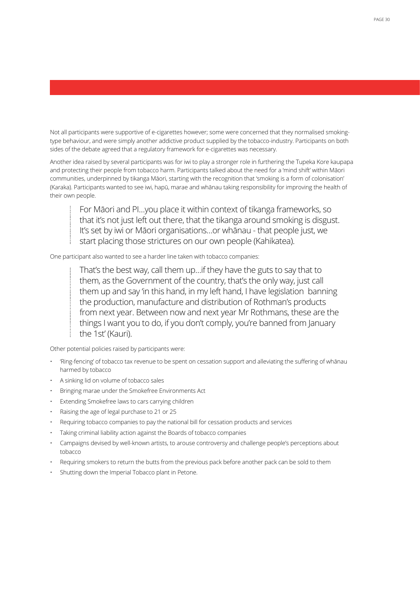Not all participants were supportive of e-cigarettes however; some were concerned that they normalised smokingtype behaviour, and were simply another addictive product supplied by the tobacco-industry. Participants on both sides of the debate agreed that a regulatory framework for e-cigarettes was necessary.

Another idea raised by several participants was for iwi to play a stronger role in furthering the Tupeka Kore kaupapa and protecting their people from tobacco harm. Participants talked about the need for a 'mind shift' within Māori communities, underpinned by tikanga Māori, starting with the recognition that 'smoking is a form of colonisation' (Karaka). Participants wanted to see iwi, hapū, marae and whānau taking responsibility for improving the health of their own people.

For Māori and PI…you place it within context of tikanga frameworks, so that it's not just left out there, that the tikanga around smoking is disgust. It's set by iwi or Māori organisations…or whānau - that people just, we start placing those strictures on our own people (Kahikatea).

One participant also wanted to see a harder line taken with tobacco companies:

That's the best way, call them up…if they have the guts to say that to them, as the Government of the country, that's the only way, just call them up and say 'in this hand, in my left hand, I have legislation banning the production, manufacture and distribution of Rothman's products from next year. Between now and next year Mr Rothmans, these are the things I want you to do, if you don't comply, you're banned from January the 1st' (Kauri).

Other potential policies raised by participants were:

- 'Ring-fencing' of tobacco tax revenue to be spent on cessation support and alleviating the suffering of whānau harmed by tobacco
- A sinking lid on volume of tobacco sales
- Bringing marae under the Smokefree Environments Act
- Extending Smokefree laws to cars carrying children
- Raising the age of legal purchase to 21 or 25
- Requiring tobacco companies to pay the national bill for cessation products and services
- Taking criminal liability action against the Boards of tobacco companies
- Campaigns devised by well-known artists, to arouse controversy and challenge people's perceptions about tobacco
- Requiring smokers to return the butts from the previous pack before another pack can be sold to them
- Shutting down the Imperial Tobacco plant in Petone.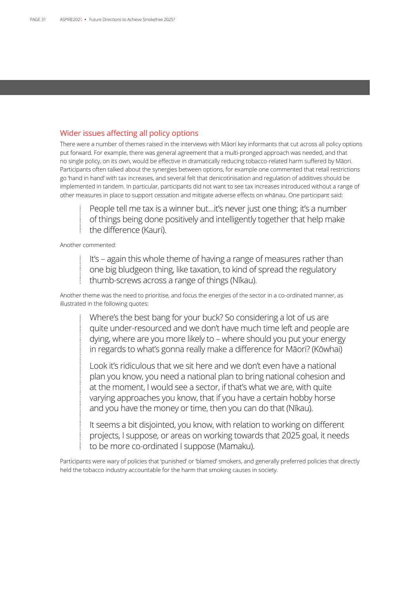### Wider issues affecting all policy options

There were a number of themes raised in the interviews with Māori key informants that cut across all policy options put forward. For example, there was general agreement that a multi-pronged approach was needed, and that no single policy, on its own, would be effective in dramatically reducing tobacco-related harm suffered by Māori. Participants often talked about the synergies between options, for example one commented that retail restrictions go 'hand in hand' with tax increases, and several felt that denicotinisation and regulation of additives should be implemented in tandem. In particular, participants did not want to see tax increases introduced without a range of other measures in place to support cessation and mitigate adverse effects on whānau. One participant said:

People tell me tax is a winner but…it's never just one thing; it's a number of things being done positively and intelligently together that help make the difference (Kauri).

Another commented:

It's – again this whole theme of having a range of measures rather than one big bludgeon thing, like taxation, to kind of spread the regulatory thumb-screws across a range of things (Nīkau).

Another theme was the need to prioritise, and focus the energies of the sector in a co-ordinated manner, as illustrated in the following quotes:

Where's the best bang for your buck? So considering a lot of us are quite under-resourced and we don't have much time left and people are dying, where are you more likely to – where should you put your energy in regards to what's gonna really make a difference for Māori? (Kōwhai)

Look it's ridiculous that we sit here and we don't even have a national plan you know, you need a national plan to bring national cohesion and at the moment, I would see a sector, if that's what we are, with quite varying approaches you know, that if you have a certain hobby horse and you have the money or time, then you can do that (Nīkau).

It seems a bit disjointed, you know, with relation to working on different projects, I suppose, or areas on working towards that 2025 goal, it needs to be more co-ordinated I suppose (Mamaku).

Participants were wary of policies that 'punished' or 'blamed' smokers, and generally preferred policies that directly held the tobacco industry accountable for the harm that smoking causes in society.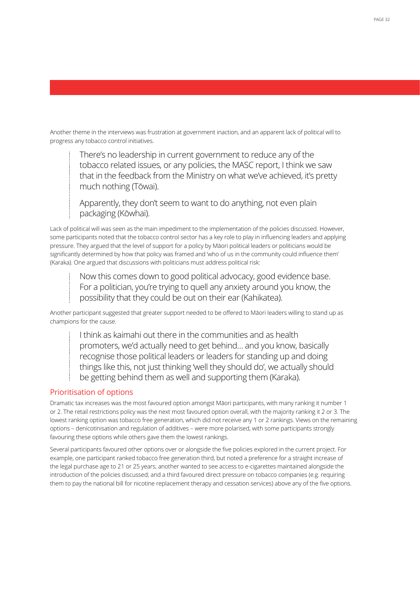Another theme in the interviews was frustration at government inaction, and an apparent lack of political will to progress any tobacco control initiatives.

There's no leadership in current government to reduce any of the tobacco related issues, or any policies, the MASC report, I think we saw that in the feedback from the Ministry on what we've achieved, it's pretty much nothing (Tōwai).

Apparently, they don't seem to want to do anything, not even plain packaging (Kōwhai).

Lack of political will was seen as the main impediment to the implementation of the policies discussed. However, some participants noted that the tobacco control sector has a key role to play in influencing leaders and applying pressure. They argued that the level of support for a policy by Māori political leaders or politicians would be significantly determined by how that policy was framed and 'who of us in the community could influence them' (Karaka). One argued that discussions with politicians must address political risk:

Now this comes down to good political advocacy, good evidence base. For a politician, you're trying to quell any anxiety around you know, the possibility that they could be out on their ear (Kahikatea).

Another participant suggested that greater support needed to be offered to Māori leaders willing to stand up as champions for the cause.

I think as kaimahi out there in the communities and as health

promoters, we'd actually need to get behind… and you know, basically

recognise those political leaders or leaders for standing up and doing

things like this, not just thinking 'well they should do', we actually should

be getting behind them as well and supporting them (Karaka).

## Prioritisation of options

Dramatic tax increases was the most favoured option amongst Māori participants, with many ranking it number 1 or 2. The retail restrictions policy was the next most favoured option overall, with the majority ranking it 2 or 3. The lowest ranking option was tobacco free generation, which did not receive any 1 or 2 rankings. Views on the remaining options – denicotinisation and regulation of additives – were more polarised, with some participants strongly favouring these options while others gave them the lowest rankings.

Several participants favoured other options over or alongside the five policies explored in the current project. For example, one participant ranked tobacco free generation third, but noted a preference for a straight increase of the legal purchase age to 21 or 25 years; another wanted to see access to e-cigarettes maintained alongside the introduction of the policies discussed; and a third favoured direct pressure on tobacco companies (e.g. requiring them to pay the national bill for nicotine replacement therapy and cessation services) above any of the five options.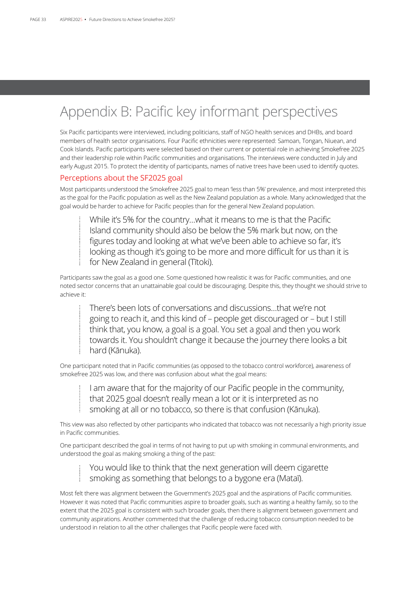# Appendix B: Pacific key informant perspectives

Six Pacific participants were interviewed, including politicians, staff of NGO health services and DHBs, and board members of health sector organisations. Four Pacific ethnicities were represented: Samoan, Tongan, Niuean, and Cook Islands. Pacific participants were selected based on their current or potential role in achieving Smokefree 2025 and their leadership role within Pacific communities and organisations. The interviews were conducted in July and early August 2015. To protect the identity of participants, names of native trees have been used to identify quotes.

### Perceptions about the SF2025 goal

Most participants understood the Smokefree 2025 goal to mean 'less than 5%' prevalence, and most interpreted this as the goal for the Pacific population as well as the New Zealand population as a whole. Many acknowledged that the goal would be harder to achieve for Pacific peoples than for the general New Zealand population.

While it's 5% for the country…what it means to me is that the Pacific Island community should also be below the 5% mark but now, on the figures today and looking at what we've been able to achieve so far, it's looking as though it's going to be more and more difficult for us than it is for New Zealand in general (Tītoki).

Participants saw the goal as a good one. Some questioned how realistic it was for Pacific communities, and one noted sector concerns that an unattainable goal could be discouraging. Despite this, they thought we should strive to achieve it:

There's been lots of conversations and discussions…that we're not going to reach it, and this kind of – people get discouraged or – but I still think that, you know, a goal is a goal. You set a goal and then you work towards it. You shouldn't change it because the journey there looks a bit hard (Kānuka).

One participant noted that in Pacific communities (as opposed to the tobacco control workforce), awareness of smokefree 2025 was low, and there was confusion about what the goal means:

I am aware that for the majority of our Pacific people in the community, that 2025 goal doesn't really mean a lot or it is interpreted as no smoking at all or no tobacco, so there is that confusion (Kānuka).

This view was also reflected by other participants who indicated that tobacco was not necessarily a high priority issue in Pacific communities.

One participant described the goal in terms of not having to put up with smoking in communal environments, and understood the goal as making smoking a thing of the past:

## You would like to think that the next generation will deem cigarette smoking as something that belongs to a bygone era (Mataī).

Most felt there was alignment between the Government's 2025 goal and the aspirations of Pacific communities. However it was noted that Pacific communities aspire to broader goals, such as wanting a healthy family, so to the extent that the 2025 goal is consistent with such broader goals, then there is alignment between government and community aspirations. Another commented that the challenge of reducing tobacco consumption needed to be understood in relation to all the other challenges that Pacific people were faced with.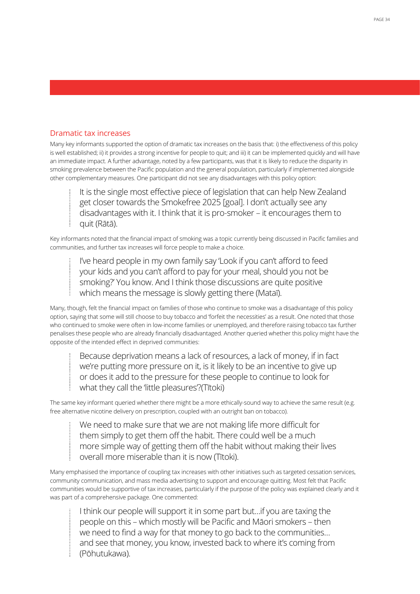### Dramatic tax increases

Many key informants supported the option of dramatic tax increases on the basis that: i) the effectiveness of this policy is well established; ii) it provides a strong incentive for people to quit; and iii) it can be implemented quickly and will have an immediate impact. A further advantage, noted by a few participants, was that it is likely to reduce the disparity in smoking prevalence between the Pacific population and the general population, particularly if implemented alongside other complementary measures. One participant did not see any disadvantages with this policy option:

It is the single most effective piece of legislation that can help New Zealand get closer towards the Smokefree 2025 [goal]. I don't actually see any disadvantages with it. I think that it is pro-smoker – it encourages them to quit (Rātā).

Key informants noted that the financial impact of smoking was a topic currently being discussed in Pacific families and communities, and further tax increases will force people to make a choice.

I've heard people in my own family say 'Look if you can't afford to feed your kids and you can't afford to pay for your meal, should you not be smoking?' You know. And I think those discussions are quite positive which means the message is slowly getting there (Mataī).

Many, though, felt the financial impact on families of those who continue to smoke was a disadvantage of this policy option, saying that some will still choose to buy tobacco and 'forfeit the necessities' as a result. One noted that those who continued to smoke were often in low-income families or unemployed, and therefore raising tobacco tax further penalises these people who are already financially disadvantaged. Another queried whether this policy might have the opposite of the intended effect in deprived communities:

Because deprivation means a lack of resources, a lack of money, if in fact we're putting more pressure on it, is it likely to be an incentive to give up or does it add to the pressure for these people to continue to look for what they call the 'little pleasures'?(Titoki)

The same key informant queried whether there might be a more ethically-sound way to achieve the same result (e.g. free alternative nicotine delivery on prescription, coupled with an outright ban on tobacco).

We need to make sure that we are not making life more difficult for them simply to get them off the habit. There could well be a much more simple way of getting them off the habit without making their lives overall more miserable than it is now (Tītoki).

Many emphasised the importance of coupling tax increases with other initiatives such as targeted cessation services, community communication, and mass media advertising to support and encourage quitting. Most felt that Pacific communities would be supportive of tax increases, particularly if the purpose of the policy was explained clearly and it was part of a comprehensive package. One commented:

I think our people will support it in some part but…if you are taxing the people on this – which mostly will be Pacific and Māori smokers – then we need to find a way for that money to go back to the communities… and see that money, you know, invested back to where it's coming from (Pōhutukawa).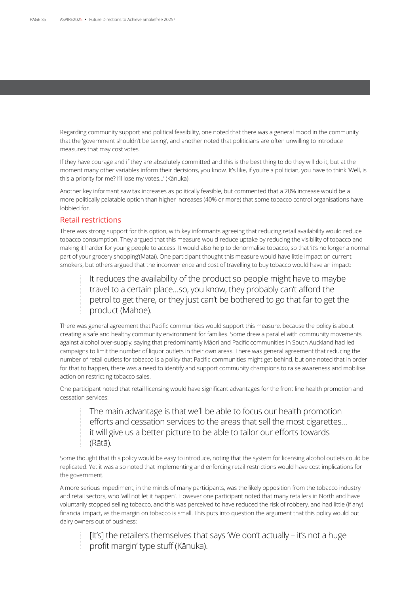Regarding community support and political feasibility, one noted that there was a general mood in the community that the 'government shouldn't be taxing', and another noted that politicians are often unwilling to introduce measures that may cost votes.

If they have courage and if they are absolutely committed and this is the best thing to do they will do it, but at the moment many other variables inform their decisions, you know. It's like, if you're a politician, you have to think 'Well, is this a priority for me? I'll lose my votes…' (Kānuka).

Another key informant saw tax increases as politically feasible, but commented that a 20% increase would be a more politically palatable option than higher increases (40% or more) that some tobacco control organisations have lobbied for.

### Retail restrictions

There was strong support for this option, with key informants agreeing that reducing retail availability would reduce tobacco consumption. They argued that this measure would reduce uptake by reducing the visibility of tobacco and making it harder for young people to access. It would also help to denormalise tobacco, so that 'it's no longer a normal part of your grocery shopping'(Mataī). One participant thought this measure would have little impact on current smokers, but others argued that the inconvenience and cost of travelling to buy tobacco would have an impact:

It reduces the availability of the product so people might have to maybe travel to a certain place…so, you know, they probably can't afford the petrol to get there, or they just can't be bothered to go that far to get the product (Māhoe).

There was general agreement that Pacific communities would support this measure, because the policy is about creating a safe and healthy community environment for families. Some drew a parallel with community movements against alcohol over-supply, saying that predominantly Māori and Pacific communities in South Auckland had led campaigns to limit the number of liquor outlets in their own areas. There was general agreement that reducing the number of retail outlets for tobacco is a policy that Pacific communities might get behind, but one noted that in order for that to happen, there was a need to identify and support community champions to raise awareness and mobilise action on restricting tobacco sales.

One participant noted that retail licensing would have significant advantages for the front line health promotion and cessation services:

The main advantage is that we'll be able to focus our health promotion efforts and cessation services to the areas that sell the most cigarettes… it will give us a better picture to be able to tailor our efforts towards (Rātā).

Some thought that this policy would be easy to introduce, noting that the system for licensing alcohol outlets could be replicated. Yet it was also noted that implementing and enforcing retail restrictions would have cost implications for the government.

A more serious impediment, in the minds of many participants, was the likely opposition from the tobacco industry and retail sectors, who 'will not let it happen'. However one participant noted that many retailers in Northland have voluntarily stopped selling tobacco, and this was perceived to have reduced the risk of robbery, and had little (if any) financial impact, as the margin on tobacco is small. This puts into question the argument that this policy would put dairy owners out of business:

[It's] the retailers themselves that says 'We don't actually - it's not a huge profit margin' type stuff (Kānuka).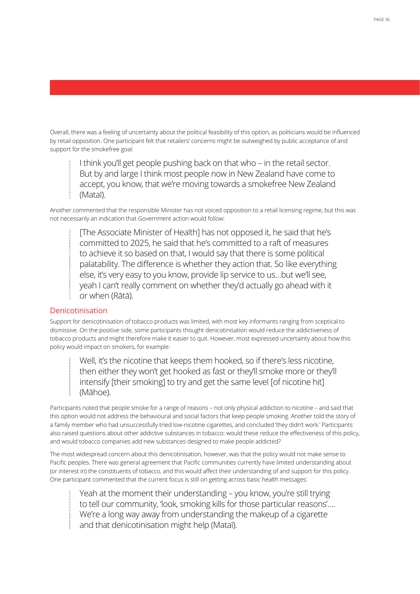Overall, there was a feeling of uncertainty about the political feasibility of this option, as politicians would be influenced by retail opposition. One participant felt that retailers' concerns might be outweighed by public acceptance of and support for the smokefree goal:

I think you'll get people pushing back on that who – in the retail sector. But by and large I think most people now in New Zealand have come to accept, you know, that we're moving towards a smokefree New Zealand (Mataī).

Another commented that the responsible Minister has not voiced opposition to a retail licensing regime, but this was not necessarily an indication that Government action would follow:

[The Associate Minister of Health] has not opposed it, he said that he's committed to 2025, he said that he's committed to a raft of measures to achieve it so based on that, I would say that there is some political palatability. The difference is whether they action that. So like everything else, it's very easy to you know, provide lip service to us…but we'll see, yeah I can't really comment on whether they'd actually go ahead with it or when (Rātā).

### Denicotinisation

Support for denicotinisation of tobacco products was limited, with most key informants ranging from sceptical to dismissive. On the positive side, some participants thought denicotinisation would reduce the addictiveness of tobacco products and might therefore make it easier to quit. However, most expressed uncertainty about how this policy would impact on smokers, for example:

Well, it's the nicotine that keeps them hooked, so if there's less nicotine, then either they won't get hooked as fast or they'll smoke more or they'll intensify [their smoking] to try and get the same level [of nicotine hit] (Māhoe).

Participants noted that people smoke for a range of reasons – not only physical addiction to nicotine – and said that this option would not address the behavioural and social factors that keep people smoking. Another told the story of a family member who had unsuccessfully tried low-nicotine cigarettes, and concluded 'they didn't work.' Participants also raised questions about other addictive substances in tobacco: would these reduce the effectiveness of this policy, and would tobacco companies add new substances designed to make people addicted?

The most widespread concern about this denicotinisation, however, was that the policy would not make sense to Pacific peoples. There was general agreement that Pacific communities currently have limited understanding about (or interest in) the constituents of tobacco, and this would affect their understanding of and support for this policy. One participant commented that the current focus is still on getting across basic health messages:

Yeah at the moment their understanding – you know, you're still trying to tell our community, 'look, smoking kills for those particular reasons'…. We're a long way away from understanding the makeup of a cigarette and that denicotinisation might help (Mataī).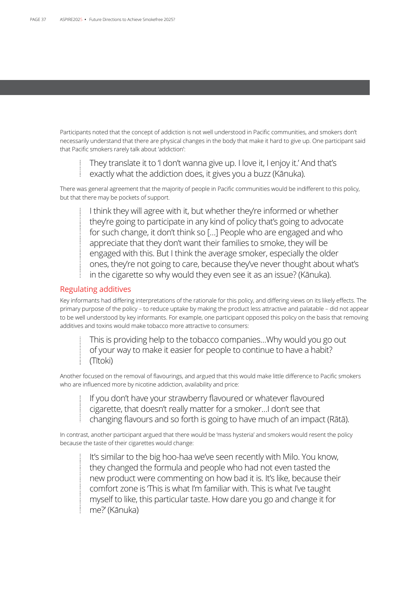Participants noted that the concept of addiction is not well understood in Pacific communities, and smokers don't necessarily understand that there are physical changes in the body that make it hard to give up. One participant said that Pacific smokers rarely talk about 'addiction':

They translate it to 'I don't wanna give up. I love it, I enjoy it.' And that's exactly what the addiction does, it gives you a buzz (Kānuka).

There was general agreement that the majority of people in Pacific communities would be indifferent to this policy, but that there may be pockets of support.

I think they will agree with it, but whether they're informed or whether they're going to participate in any kind of policy that's going to advocate for such change, it don't think so […] People who are engaged and who appreciate that they don't want their families to smoke, they will be engaged with this. But I think the average smoker, especially the older ones, they're not going to care, because they've never thought about what's in the cigarette so why would they even see it as an issue? (Kānuka).

### Regulating additives

Key informants had differing interpretations of the rationale for this policy, and differing views on its likely effects. The primary purpose of the policy – to reduce uptake by making the product less attractive and palatable – did not appear to be well understood by key informants. For example, one participant opposed this policy on the basis that removing additives and toxins would make tobacco more attractive to consumers:

This is providing help to the tobacco companies…Why would you go out of your way to make it easier for people to continue to have a habit? (Tītoki)

Another focused on the removal of flavourings, and argued that this would make little difference to Pacific smokers who are influenced more by nicotine addiction, availability and price:

If you don't have your strawberry flavoured or whatever flavoured cigarette, that doesn't really matter for a smoker…I don't see that changing flavours and so forth is going to have much of an impact (Rātā).

In contrast, another participant argued that there would be 'mass hysteria' and smokers would resent the policy because the taste of their cigarettes would change:

It's similar to the big hoo-haa we've seen recently with Milo. You know, they changed the formula and people who had not even tasted the new product were commenting on how bad it is. It's like, because their comfort zone is 'This is what I'm familiar with. This is what I've taught myself to like, this particular taste. How dare you go and change it for me?' (Kānuka)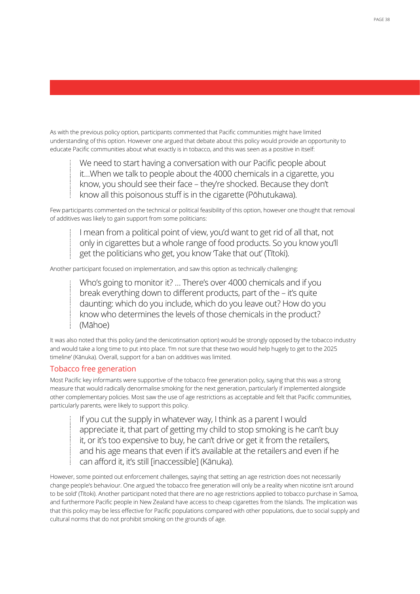As with the previous policy option, participants commented that Pacific communities might have limited understanding of this option. However one argued that debate about this policy would provide an opportunity to educate Pacific communities about what exactly is in tobacco, and this was seen as a positive in itself:

We need to start having a conversation with our Pacific people about it…When we talk to people about the 4000 chemicals in a cigarette, you know, you should see their face – they're shocked. Because they don't know all this poisonous stuff is in the cigarette (Pōhutukawa).

Few participants commented on the technical or political feasibility of this option, however one thought that removal of additives was likely to gain support from some politicians:

I mean from a political point of view, you'd want to get rid of all that, not only in cigarettes but a whole range of food products. So you know you'll get the politicians who get, you know Take that out' (Titoki).

Another participant focused on implementation, and saw this option as technically challenging:

Who's going to monitor it? … There's over 4000 chemicals and if you break everything down to different products, part of the – it's quite daunting: which do you include, which do you leave out? How do you know who determines the levels of those chemicals in the product? (Māhoe)

It was also noted that this policy (and the denicotinsation option) would be strongly opposed by the tobacco industry and would take a long time to put into place. 'I'm not sure that these two would help hugely to get to the 2025 timeline' (Kānuka). Overall, support for a ban on additives was limited.

### Tobacco free generation

Most Pacific key informants were supportive of the tobacco free generation policy, saying that this was a strong measure that would radically denormalise smoking for the next generation, particularly if implemented alongside other complementary policies. Most saw the use of age restrictions as acceptable and felt that Pacific communities, particularly parents, were likely to support this policy.

If you cut the supply in whatever way, I think as a parent I would appreciate it, that part of getting my child to stop smoking is he can't buy it, or it's too expensive to buy, he can't drive or get it from the retailers, and his age means that even if it's available at the retailers and even if he can afford it, it's still [inaccessible] (Kānuka).

However, some pointed out enforcement challenges, saying that setting an age restriction does not necessarily change people's behaviour. One argued 'the tobacco free generation will only be a reality when nicotine isn't around to be sold' (Tītoki). Another participant noted that there are no age restrictions applied to tobacco purchase in Samoa, and furthermore Pacific people in New Zealand have access to cheap cigarettes from the Islands. The implication was that this policy may be less effective for Pacific populations compared with other populations, due to social supply and cultural norms that do not prohibit smoking on the grounds of age.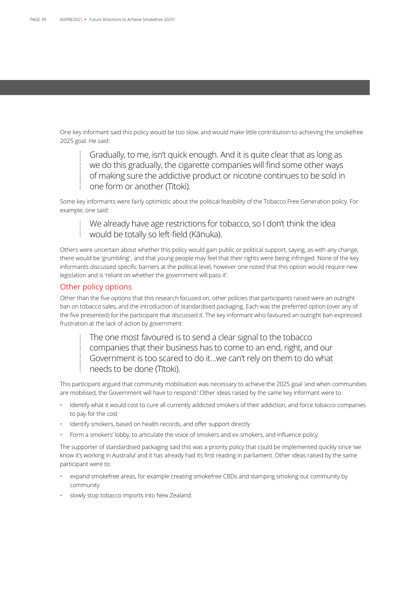One key informant said this policy would be too slow, and would make little contribution to achieving the smokefree 2025 goal. He said:

Gradually, to me, isn't quick enough. And it is quite clear that as long as we do this gradually, the cigarette companies will find some other ways of making sure the addictive product or nicotine continues to be sold in one form or another (Tītoki).

Some key informants were fairly optimistic about the political feasibility of the Tobacco Free Generation policy. For example, one said:

We already have age restrictions for tobacco, so I don't think the idea would be totally so left-field (Kānuka).

Others were uncertain about whether this policy would gain public or political support, saying, as with any change, there would be 'grumbling' , and that young people may feel that their rights were being infringed. None of the key informants discussed specific barriers at the political level, however one noted that this option would require new legislation and is 'reliant on whether the government will pass it'.

### Other policy options

Other than the five options that this research focused on, other policies that participants raised were an outright ban on tobacco sales, and the introduction of standardised packaging. Each was the preferred option (over any of the five presented) for the participant that discussed it. The key informant who favoured an outright ban expressed frustration at the lack of action by government:

The one most favoured is to send a clear signal to the tobacco companies that their business has to come to an end, right, and our Government is too scared to do it…we can't rely on them to do what needs to be done (Tītoki).

This participant argued that community mobilisation was necessary to achieve the 2025 goal 'and when communities are mobilised, the Government will have to respond.' Other ideas raised by the same key informant were to:

- Identify what it would cost to cure all currently addicted smokers of their addiction, and force tobacco companies to pay for the cost
- Identify smokers, based on health records, and offer support directly
- Form a smokers' lobby, to articulate the voice of smokers and ex-smokers, and influence policy.

The supporter of standardised packaging said this was a priority policy that could be implemented quickly since 'we know it's working in Australia' and it has already had its first reading in parliament. Other ideas raised by the same participant were to:

- expand smokefree areas, for example creating smokefree CBDs and stamping smoking out community by community
- slowly stop tobacco imports into New Zealand.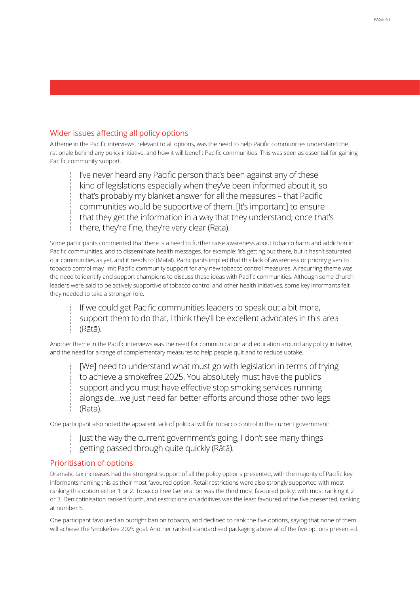## Wider issues affecting all policy options

A theme in the Pacific interviews, relevant to all options, was the need to help Pacific communities understand the rationale behind any policy initiative, and how it will benefit Pacific communities. This was seen as essential for gaining Pacific community support.

I've never heard any Pacific person that's been against any of these kind of legislations especially when they've been informed about it, so that's probably my blanket answer for all the measures – that Pacific communities would be supportive of them. [It's important] to ensure that they get the information in a way that they understand; once that's there, they're fine, they're very clear (Rātā).

Some participants commented that there is a need to further raise awareness about tobacco harm and addiction in Pacific communities, and to disseminate health messages, for example: 'it's getting out there, but it hasn't saturated our communities as yet, and it needs to' (Mataī). Participants implied that this lack of awareness or priority given to tobacco control may limit Pacific community support for any new tobacco control measures. A recurring theme was the need to identify and support champions to discuss these ideas with Pacific communities. Although some church leaders were said to be actively supportive of tobacco control and other health initiatives, some key informants felt they needed to take a stronger role.

If we could get Pacific communities leaders to speak out a bit more, support them to do that, I think they'll be excellent advocates in this area (Rātā).

Another theme in the Pacific interviews was the need for communication and education around any policy initiative, and the need for a range of complementary measures to help people quit and to reduce uptake.

[We] need to understand what must go with legislation in terms of trying to achieve a smokefree 2025. You absolutely must have the public's support and you must have effective stop smoking services running alongside…we just need far better efforts around those other two legs (Rātā).

One participant also noted the apparent lack of political will for tobacco control in the current government:

Just the way the current government's going, I don't see many things getting passed through quite quickly (Rātā).

### Prioritisation of options

Dramatic tax increases had the strongest support of all the policy options presented, with the majority of Pacific key informants naming this as their most favoured option. Retail restrictions were also strongly supported with most ranking this option either 1 or 2. Tobacco Free Generation was the third most favoured policy, with most ranking it 2 or 3. Denicotinisation ranked fourth, and restrictions on additives was the least favoured of the five presented, ranking at number 5.

One participant favoured an outright ban on tobacco, and declined to rank the five options, saying that none of them will achieve the Smokefree 2025 goal. Another ranked standardised packaging above all of the five options presented.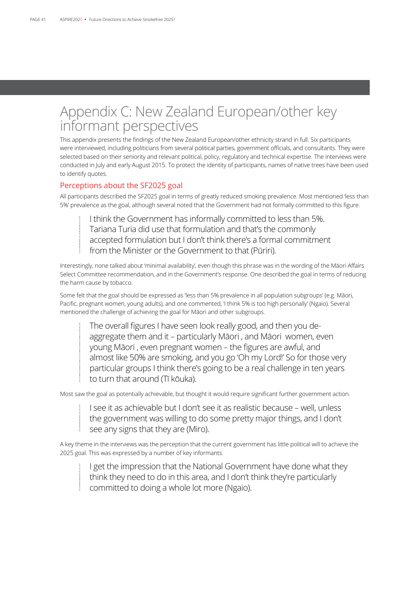# Appendix C: New Zealand European/other key informant perspectives

This appendix presents the findings of the New Zealand European/other ethnicity strand in full. Six participants were interviewed, including politicians from several political parties, government officials, and consultants. They were selected based on their seniority and relevant political, policy, regulatory and technical expertise. The interviews were conducted in July and early August 2015. To protect the identity of participants, names of native trees have been used to identify quotes.

### Perceptions about the SF2025 goal

All participants described the SF2025 goal in terms of greatly reduced smoking prevalence. Most mentioned 'less than 5%' prevalence as the goal, although several noted that the Government had not formally committed to this figure.

I think the Government has informally committed to less than 5%. Tariana Turia did use that formulation and that's the commonly accepted formulation but I don't think there's a formal commitment from the Minister or the Government to that (Pūriri).

Interestingly, none talked about 'minimal availability', even though this phrase was in the wording of the Māori Affairs Select Committee recommendation, and in the Government's response. One described the goal in terms of reducing the harm cause by tobacco.

Some felt that the goal should be expressed as 'less than 5% prevalence in all population subgroups' (e.g. Māori, Pacific, pregnant women, young adults), and one commented, 'I think 5% is too high personally' (Ngaio). Several mentioned the challenge of achieving the goal for Māori and other subgroups.

The overall figures I have seen look really good, and then you deaggregate them and it – particularly Māori , and Māori women, even young Māori , even pregnant women – the figures are awful, and almost like 50% are smoking, and you go 'Oh my Lord!' So for those very particular groups I think there's going to be a real challenge in ten years to turn that around (Tī kōuka).

Most saw the goal as potentially achievable, but thought it would require significant further government action.

I see it as achievable but I don't see it as realistic because – well, unless the government was willing to do some pretty major things, and I don't see any signs that they are (Miro).

A key theme in the interviews was the perception that the current government has little political will to achieve the 2025 goal. This was expressed by a number of key informants.

I get the impression that the National Government have done what they think they need to do in this area, and I don't think they're particularly committed to doing a whole lot more (Ngaio).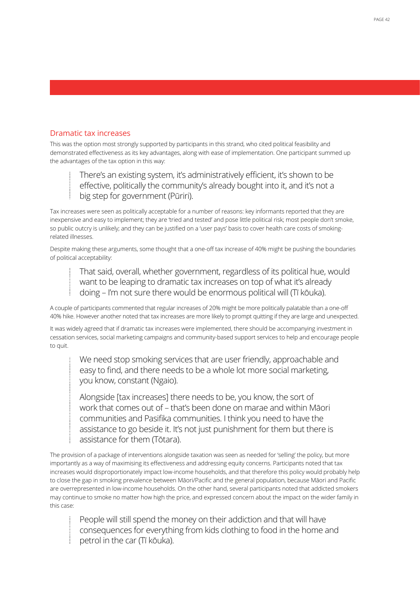### Dramatic tax increases

This was the option most strongly supported by participants in this strand, who cited political feasibility and demonstrated effectiveness as its key advantages, along with ease of implementation. One participant summed up the advantages of the tax option in this way:

There's an existing system, it's administratively efficient, it's shown to be effective, politically the community's already bought into it, and it's not a big step for government (Pūriri).

Tax increases were seen as politically acceptable for a number of reasons: key informants reported that they are inexpensive and easy to implement; they are 'tried and tested' and pose little political risk; most people don't smoke, so public outcry is unlikely; and they can be justified on a 'user pays' basis to cover health care costs of smokingrelated illnesses.

Despite making these arguments, some thought that a one-off tax increase of 40% might be pushing the boundaries of political acceptability:

That said, overall, whether government, regardless of its political hue, would want to be leaping to dramatic tax increases on top of what it's already doing – I'm not sure there would be enormous political will (Tī kōuka).

A couple of participants commented that regular increases of 20% might be more politically palatable than a one-off 40% hike. However another noted that tax increases are more likely to prompt quitting if they are large and unexpected.

It was widely agreed that if dramatic tax increases were implemented, there should be accompanying investment in cessation services, social marketing campaigns and community-based support services to help and encourage people to quit.

We need stop smoking services that are user friendly, approachable and easy to find, and there needs to be a whole lot more social marketing, you know, constant (Ngaio).

Alongside [tax increases] there needs to be, you know, the sort of work that comes out of – that's been done on marae and within Māori communities and Pasifika communities. I think you need to have the assistance to go beside it. It's not just punishment for them but there is assistance for them (Tōtara).

The provision of a package of interventions alongside taxation was seen as needed for 'selling' the policy, but more importantly as a way of maximising its effectiveness and addressing equity concerns. Participants noted that tax increases would disproportionately impact low-income households, and that therefore this policy would probably help to close the gap in smoking prevalence between Māori/Pacific and the general population, because Māori and Pacific are overrepresented in low-income households. On the other hand, several participants noted that addicted smokers may continue to smoke no matter how high the price, and expressed concern about the impact on the wider family in this case:

People will still spend the money on their addiction and that will have consequences for everything from kids clothing to food in the home and petrol in the car (Tī kōuka).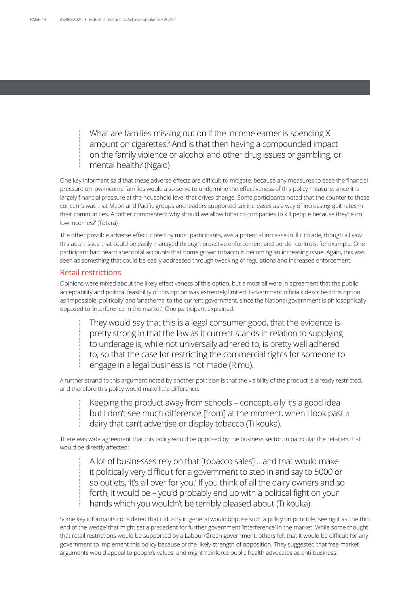What are families missing out on if the income earner is spending X amount on cigarettes? And is that then having a compounded impact on the family violence or alcohol and other drug issues or gambling, or mental health? (Ngaio)

One key informant said that these adverse effects are difficult to mitigate, because any measures to ease the financial pressure on low-income families would also serve to undermine the effectiveness of this policy measure, since it is largely financial pressure at the household level that drives change. Some participants noted that the counter to these concerns was that Māori and Pacific groups and leaders supported tax increases as a way of increasing quit rates in their communities. Another commented: 'why should we allow tobacco companies to kill people because they're on low incomes?' (Tōtara)

The other possible adverse effect, noted by most participants, was a potential increase in illicit trade, though all saw this as an issue that could be easily managed through proactive enforcement and border controls, for example. One participant had heard anecdotal accounts that home grown tobacco is becoming an increasing issue. Again, this was seen as something that could be easily addressed through tweaking of regulations and increased enforcement.

### Retail restrictions

Opinions were mixed about the likely effectiveness of this option, but almost all were in agreement that the public acceptability and political feasibility of this option was extremely limited. Government officials described this option as 'impossible, politically' and 'anathema' to the current government, since the National government is philosophically opposed to 'interference in the market'. One participant explained:

They would say that this is a legal consumer good, that the evidence is pretty strong in that the law as it current stands in relation to supplying to underage is, while not universally adhered to, is pretty well adhered to, so that the case for restricting the commercial rights for someone to engage in a legal business is not made (Rimu).

A further strand to this argument noted by another politician is that the visibility of the product is already restricted, and therefore this policy would make little difference.

Keeping the product away from schools – conceptually it's a good idea but I don't see much difference [from] at the moment, when I look past a dairy that can't advertise or display tobacco (Tī kōuka).

There was wide agreement that this policy would be opposed by the business sector, in particular the retailers that would be directly affected:

A lot of businesses rely on that [tobacco sales] …and that would make it politically very difficult for a government to step in and say to 5000 or so outlets, 'It's all over for you.' If you think of all the dairy owners and so forth, it would be – you'd probably end up with a political fight on your hands which you wouldn't be terribly pleased about (Tī kōuka).

Some key informants considered that industry in general would oppose such a policy on principle, seeing it as 'the thin end of the wedge' that might set a precedent for further government 'interference' in the market. While some thought that retail restrictions would be supported by a Labour/Green government, others felt that it would be difficult for any government to implement this policy because of the likely strength of opposition. They suggested that free market arguments would appeal to people's values, and might 'reinforce public health advocates as anti-business.'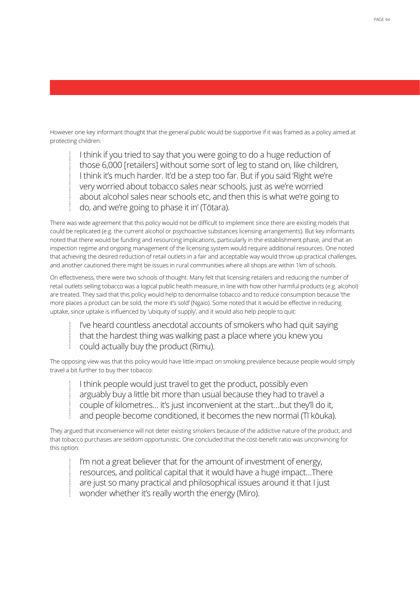However one key informant thought that the general public would be supportive if it was framed as a policy aimed at protecting children:

I think if you tried to say that you were going to do a huge reduction of those 6,000 [retailers] without some sort of leg to stand on, like children, I think it's much harder. It'd be a step too far. But if you said 'Right we're very worried about tobacco sales near schools, just as we're worried about alcohol sales near schools etc, and then this is what we're going to do, and we're going to phase it in' (Tōtara).

There was wide agreement that this policy would not be difficult to implement since there are existing models that could be replicated (e.g. the current alcohol or psychoactive substances licensing arrangements). But key informants noted that there would be funding and resourcing implications, particularly in the establishment phase, and that an inspection regime and ongoing management of the licensing system would require additional resources. One noted that achieving the desired reduction of retail outlets in a fair and acceptable way would throw up practical challenges, and another cautioned there might be issues in rural communities where all shops are within 1km of schools.

On effectiveness, there were two schools of thought. Many felt that licensing retailers and reducing the number of retail outlets selling tobacco was a logical public health measure, in line with how other harmful products (e.g. alcohol) are treated. They said that this policy would help to denormalise tobacco and to reduce consumption because 'the more places a product can be sold, the more it's sold' (Ngaio). Some noted that it would be effective in reducing uptake, since uptake is influenced by 'ubiquity of supply', and it would also help people to quit:

I've heard countless anecdotal accounts of smokers who had quit saying that the hardest thing was walking past a place where you knew you could actually buy the product (Rimu).

The opposing view was that this policy would have little impact on smoking prevalence because people would simply travel a bit further to buy their tobacco:

I think people would just travel to get the product, possibly even arguably buy a little bit more than usual because they had to travel a couple of kilometres… it's just inconvenient at the start…but they'll do it, and people become conditioned, it becomes the new normal (Tī kōuka).

They argued that inconvenience will not deter existing smokers because of the addictive nature of the product, and that tobacco purchases are seldom opportunistic. One concluded that the cost-benefit ratio was unconvincing for this option:

I'm not a great believer that for the amount of investment of energy, resources, and political capital that it would have a huge impact…There are just so many practical and philosophical issues around it that I just wonder whether it's really worth the energy (Miro).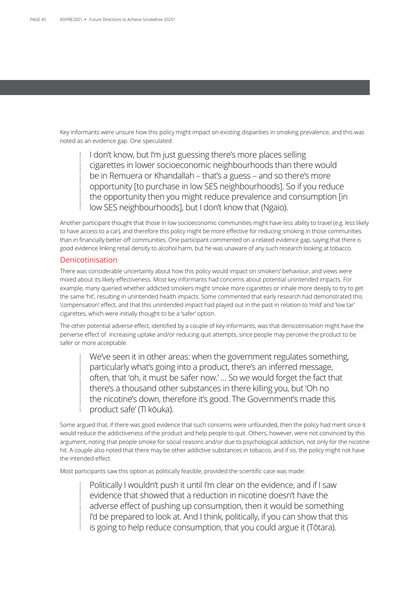Key informants were unsure how this policy might impact on existing disparities in smoking prevalence, and this was noted as an evidence gap. One speculated:

I don't know, but I'm just guessing there's more places selling cigarettes in lower socioeconomic neighbourhoods than there would be in Remuera or Khandallah – that's a guess – and so there's more opportunity [to purchase in low SES neighbourhoods]. So if you reduce the opportunity then you might reduce prevalence and consumption [in low SES neighbourhoods], but I don't know that (Ngaio).

Another participant thought that those in low socioeconomic communities might have less ability to travel (e.g. less likely to have access to a car), and therefore this policy might be more effective for reducing smoking in those communities than in financially better-off communities. One participant commented on a related evidence gap, saying that there is good evidence linking retail density to alcohol harm, but he was unaware of any such research looking at tobacco.

### Denicotinisation

There was considerable uncertainty about how this policy would impact on smokers' behaviour, and views were mixed about its likely effectiveness. Most key informants had concerns about potential unintended impacts. For example, many queried whether addicted smokers might smoke more cigarettes or inhale more deeply to try to get the same 'hit', resulting in unintended health impacts. Some commented that early research had demonstrated this 'compensation' effect, and that this unintended impact had played out in the past in relation to 'mild' and 'low tar' cigarettes, which were initially thought to be a 'safer' option.

The other potential adverse effect, identified by a couple of key informants, was that denicotinisation might have the perverse effect of increasing uptake and/or reducing quit attempts, since people may perceive the product to be safer or more acceptable.

We've seen it in other areas: when the government regulates something, particularly what's going into a product, there's an inferred message, often, that 'oh, it must be safer now.' … So we would forget the fact that there's a thousand other substances in there killing you, but 'Oh no the nicotine's down, therefore it's good. The Government's made this product safe' (Tī kōuka).

Some argued that, if there was good evidence that such concerns were unfounded, then the policy had merit since it would reduce the addictiveness of the product and help people to quit. Others, however, were not convinced by this argument, noting that people smoke for social reasons and/or due to psychological addiction, not only for the nicotine hit. A couple also noted that there may be other addictive substances in tobacco, and if so, the policy might not have the intended effect.

Most participants saw this option as politically feasible, provided the scientific case was made:

Politically I wouldn't push it until I'm clear on the evidence, and if I saw evidence that showed that a reduction in nicotine doesn't have the adverse effect of pushing up consumption, then it would be something I'd be prepared to look at. And I think, politically, if you can show that this is going to help reduce consumption, that you could argue it (Tōtara).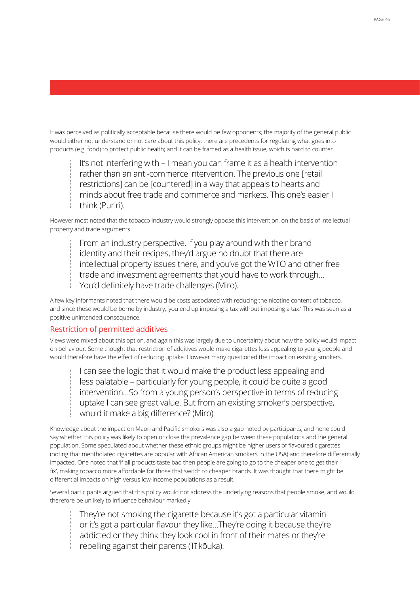It was perceived as politically acceptable because there would be few opponents; the majority of the general public would either not understand or not care about this policy; there are precedents for regulating what goes into products (e.g. food) to protect public health; and it can be framed as a health issue, which is hard to counter.

It's not interfering with – I mean you can frame it as a health intervention rather than an anti-commerce intervention. The previous one [retail restrictions] can be [countered] in a way that appeals to hearts and minds about free trade and commerce and markets. This one's easier I think (Pūriri).

However most noted that the tobacco industry would strongly oppose this intervention, on the basis of intellectual property and trade arguments.

From an industry perspective, if you play around with their brand identity and their recipes, they'd argue no doubt that there are intellectual property issues there, and you've got the WTO and other free trade and investment agreements that you'd have to work through… You'd definitely have trade challenges (Miro).

A few key informants noted that there would be costs associated with reducing the nicotine content of tobacco, and since these would be borne by industry, 'you end up imposing a tax without imposing a tax.' This was seen as a positive unintended consequence.

### Restriction of permitted additives

Views were mixed about this option, and again this was largely due to uncertainty about how the policy would impact on behaviour. Some thought that restriction of additives would make cigarettes less appealing to young people and would therefore have the effect of reducing uptake. However many questioned the impact on existing smokers.

I can see the logic that it would make the product less appealing and less palatable – particularly for young people, it could be quite a good intervention…So from a young person's perspective in terms of reducing uptake I can see great value. But from an existing smoker's perspective, would it make a big difference? (Miro)

Knowledge about the impact on Māori and Pacific smokers was also a gap noted by participants, and none could say whether this policy was likely to open or close the prevalence gap between these populations and the general population. Some speculated about whether these ethnic groups might be higher users of flavoured cigarettes (noting that mentholated cigarettes are popular with African American smokers in the USA) and therefore differentially impacted. One noted that 'if all products taste bad then people are going to go to the cheaper one to get their fix', making tobacco more affordable for those that switch to cheaper brands. It was thought that there might be differential impacts on high versus low-income populations as a result.

Several participants argued that this policy would not address the underlying reasons that people smoke, and would therefore be unlikely to influence behaviour markedly:

They're not smoking the cigarette because it's got a particular vitamin or it's got a particular flavour they like…They're doing it because they're addicted or they think they look cool in front of their mates or they're rebelling against their parents (Tī kōuka).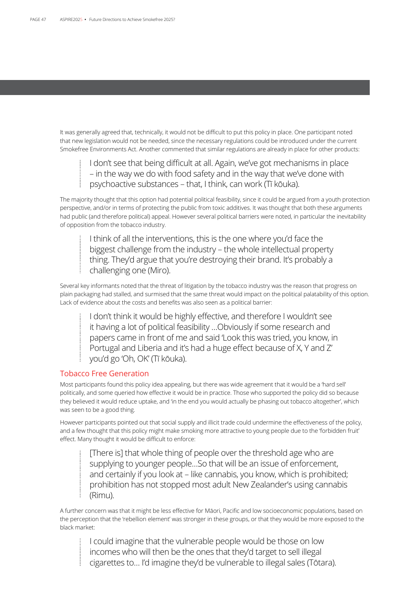It was generally agreed that, technically, it would not be difficult to put this policy in place. One participant noted that new legislation would not be needed, since the necessary regulations could be introduced under the current Smokefree Environments Act. Another commented that similar regulations are already in place for other products:

I don't see that being difficult at all. Again, we've got mechanisms in place – in the way we do with food safety and in the way that we've done with psychoactive substances – that, I think, can work (Tī kōuka).

The majority thought that this option had potential political feasibility, since it could be argued from a youth protection perspective, and/or in terms of protecting the public from toxic additives. It was thought that both these arguments had public (and therefore political) appeal. However several political barriers were noted, in particular the inevitability of opposition from the tobacco industry.

I think of all the interventions, this is the one where you'd face the biggest challenge from the industry – the whole intellectual property thing. They'd argue that you're destroying their brand. It's probably a challenging one (Miro).

Several key informants noted that the threat of litigation by the tobacco industry was the reason that progress on plain packaging had stalled, and surmised that the same threat would impact on the political palatability of this option. Lack of evidence about the costs and benefits was also seen as a political barrier:

I don't think it would be highly effective, and therefore I wouldn't see it having a lot of political feasibility …Obviously if some research and papers came in front of me and said 'Look this was tried, you know, in Portugal and Liberia and it's had a huge effect because of X, Y and Z' you'd go 'Oh, OK' (Tī kōuka).

### Tobacco Free Generation

Most participants found this policy idea appealing, but there was wide agreement that it would be a 'hard sell' politically, and some queried how effective it would be in practice. Those who supported the policy did so because they believed it would reduce uptake, and 'in the end you would actually be phasing out tobacco altogether', which was seen to be a good thing.

However participants pointed out that social supply and illicit trade could undermine the effectiveness of the policy, and a few thought that this policy might make smoking more attractive to young people due to the 'forbidden fruit' effect. Many thought it would be difficult to enforce:

[There is] that whole thing of people over the threshold age who are supplying to younger people…So that will be an issue of enforcement, and certainly if you look at – like cannabis, you know, which is prohibited; prohibition has not stopped most adult New Zealander's using cannabis (Rimu).

A further concern was that it might be less effective for Māori, Pacific and low socioeconomic populations, based on the perception that the 'rebellion element' was stronger in these groups, or that they would be more exposed to the black market:

I could imagine that the vulnerable people would be those on low incomes who will then be the ones that they'd target to sell illegal cigarettes to… I'd imagine they'd be vulnerable to illegal sales (Tōtara).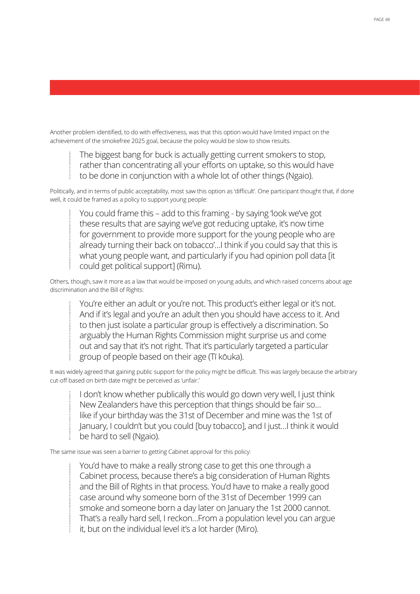Another problem identified, to do with effectiveness, was that this option would have limited impact on the achievement of the smokefree 2025 goal, because the policy would be slow to show results.

The biggest bang for buck is actually getting current smokers to stop, rather than concentrating all your efforts on uptake, so this would have to be done in conjunction with a whole lot of other things (Ngaio).

Politically, and in terms of public acceptability, most saw this option as 'difficult'. One participant thought that, if done well, it could be framed as a policy to support young people:

You could frame this – add to this framing - by saying 'look we've got these results that are saying we've got reducing uptake, it's now time for government to provide more support for the young people who are already turning their back on tobacco'…I think if you could say that this is what young people want, and particularly if you had opinion poll data [it could get political support] (Rimu).

Others, though, saw it more as a law that would be imposed on young adults, and which raised concerns about age discrimination and the Bill of Rights:

You're either an adult or you're not. This product's either legal or it's not. And if it's legal and you're an adult then you should have access to it. And to then just isolate a particular group is effectively a discrimination. So arguably the Human Rights Commission might surprise us and come out and say that it's not right. That it's particularly targeted a particular group of people based on their age (Tī kōuka).

It was widely agreed that gaining public support for the policy might be difficult. This was largely because the arbitrary cut-off based on birth date might be perceived as 'unfair.'

I don't know whether publically this would go down very well, I just think New Zealanders have this perception that things should be fair so… like if your birthday was the 31st of December and mine was the 1st of January, I couldn't but you could [buy tobacco], and I just…I think it would be hard to sell (Ngaio).

The same issue was seen a barrier to getting Cabinet approval for this policy:

You'd have to make a really strong case to get this one through a Cabinet process, because there's a big consideration of Human Rights and the Bill of Rights in that process. You'd have to make a really good case around why someone born of the 31st of December 1999 can smoke and someone born a day later on January the 1st 2000 cannot. That's a really hard sell, I reckon…From a population level you can argue it, but on the individual level it's a lot harder (Miro).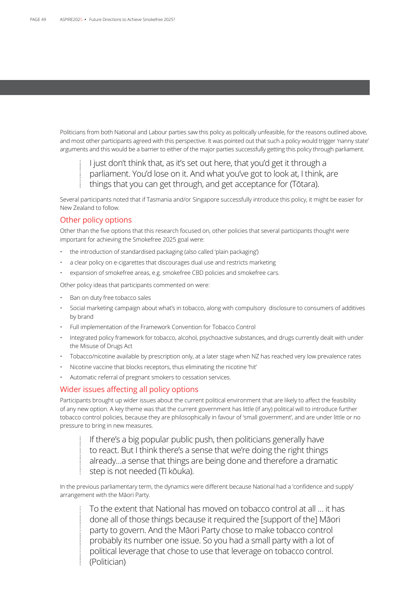Politicians from both National and Labour parties saw this policy as politically unfeasible, for the reasons outlined above, and most other participants agreed with this perspective. It was pointed out that such a policy would trigger 'nanny state' arguments and this would be a barrier to either of the major parties successfully getting this policy through parliament.

I just don't think that, as it's set out here, that you'd get it through a parliament. You'd lose on it. And what you've got to look at, I think, are things that you can get through, and get acceptance for (Tōtara).

Several participants noted that if Tasmania and/or Singapore successfully introduce this policy, it might be easier for New Zealand to follow.

### Other policy options

Other than the five options that this research focused on, other policies that several participants thought were important for achieving the Smokefree 2025 goal were:

- the introduction of standardised packaging (also called 'plain packaging')
- a clear policy on e-cigarettes that discourages dual use and restricts marketing
- expansion of smokefree areas, e.g. smokefree CBD policies and smokefree cars.

Other policy ideas that participants commented on were:

- Ban on duty free tobacco sales
- Social marketing campaign about what's in tobacco, along with compulsory disclosure to consumers of additives by brand
- Full implementation of the Framework Convention for Tobacco Control
- Integrated policy framework for tobacco, alcohol, psychoactive substances, and drugs currently dealt with under the Misuse of Drugs Act
- Tobacco/nicotine available by prescription only, at a later stage when NZ has reached very low prevalence rates
- Nicotine vaccine that blocks receptors, thus eliminating the nicotine 'hit'
- Automatic referral of pregnant smokers to cessation services.

### Wider issues affecting all policy options

Participants brought up wider issues about the current political environment that are likely to affect the feasibility of any new option. A key theme was that the current government has little (if any) political will to introduce further tobacco control policies, because they are philosophically in favour of 'small government', and are under little or no pressure to bring in new measures.

If there's a big popular public push, then politicians generally have to react. But I think there's a sense that we're doing the right things already…a sense that things are being done and therefore a dramatic step is not needed (Tī kōuka).

In the previous parliamentary term, the dynamics were different because National had a 'confidence and supply' arrangement with the Māori Party.

To the extent that National has moved on tobacco control at all … it has done all of those things because it required the [support of the] Māori party to govern. And the Māori Party chose to make tobacco control probably its number one issue. So you had a small party with a lot of political leverage that chose to use that leverage on tobacco control. (Politician)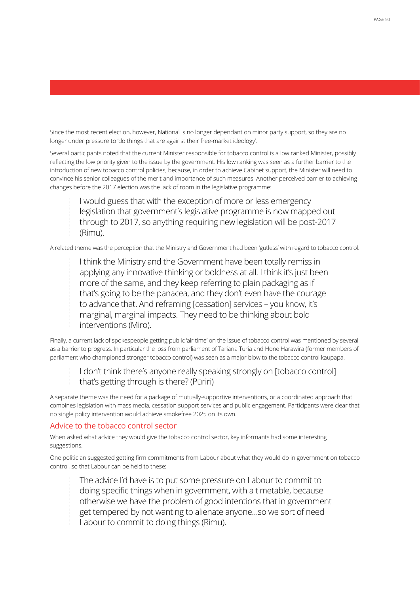Since the most recent election, however, National is no longer dependant on minor party support, so they are no longer under pressure to 'do things that are against their free-market ideology'.

Several participants noted that the current Minister responsible for tobacco control is a low ranked Minister, possibly reflecting the low priority given to the issue by the government. His low ranking was seen as a further barrier to the introduction of new tobacco control policies, because, in order to achieve Cabinet support, the Minister will need to convince his senior colleagues of the merit and importance of such measures. Another perceived barrier to achieving changes before the 2017 election was the lack of room in the legislative programme:

I would guess that with the exception of more or less emergency legislation that government's legislative programme is now mapped out through to 2017, so anything requiring new legislation will be post-2017 (Rimu).

A related theme was the perception that the Ministry and Government had been 'gutless' with regard to tobacco control.

I think the Ministry and the Government have been totally remiss in applying any innovative thinking or boldness at all. I think it's just been more of the same, and they keep referring to plain packaging as if that's going to be the panacea, and they don't even have the courage to advance that. And reframing [cessation] services – you know, it's marginal, marginal impacts. They need to be thinking about bold interventions (Miro).

Finally, a current lack of spokespeople getting public 'air time' on the issue of tobacco control was mentioned by several as a barrier to progress. In particular the loss from parliament of Tariana Turia and Hone Harawira (former members of parliament who championed stronger tobacco control) was seen as a major blow to the tobacco control kaupapa.

I don't think there's anyone really speaking strongly on [tobacco control] that's getting through is there? (Pūriri)

A separate theme was the need for a package of mutually-supportive interventions, or a coordinated approach that combines legislation with mass media, cessation support services and public engagement. Participants were clear that no single policy intervention would achieve smokefree 2025 on its own.

### Advice to the tobacco control sector

When asked what advice they would give the tobacco control sector, key informants had some interesting suggestions.

One politician suggested getting firm commitments from Labour about what they would do in government on tobacco control, so that Labour can be held to these:

The advice I'd have is to put some pressure on Labour to commit to doing specific things when in government, with a timetable, because otherwise we have the problem of good intentions that in government get tempered by not wanting to alienate anyone…so we sort of need Labour to commit to doing things (Rimu).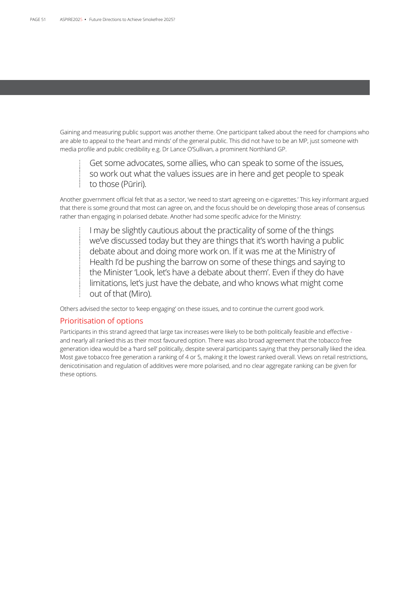Gaining and measuring public support was another theme. One participant talked about the need for champions who are able to appeal to the 'heart and minds' of the general public. This did not have to be an MP, just someone with media profile and public credibility e.g. Dr Lance O'Sullivan, a prominent Northland GP.

Get some advocates, some allies, who can speak to some of the issues, so work out what the values issues are in here and get people to speak to those (Pūriri).

Another government official felt that as a sector, 'we need to start agreeing on e-cigarettes.' This key informant argued that there is some ground that most can agree on, and the focus should be on developing those areas of consensus rather than engaging in polarised debate. Another had some specific advice for the Ministry:

I may be slightly cautious about the practicality of some of the things we've discussed today but they are things that it's worth having a public debate about and doing more work on. If it was me at the Ministry of Health I'd be pushing the barrow on some of these things and saying to the Minister 'Look, let's have a debate about them'. Even if they do have limitations, let's just have the debate, and who knows what might come out of that (Miro).

Others advised the sector to 'keep engaging' on these issues, and to continue the current good work.

### Prioritisation of options

Participants in this strand agreed that large tax increases were likely to be both politically feasible and effective and nearly all ranked this as their most favoured option. There was also broad agreement that the tobacco free generation idea would be a 'hard sell' politically, despite several participants saying that they personally liked the idea. Most gave tobacco free generation a ranking of 4 or 5, making it the lowest ranked overall. Views on retail restrictions, denicotinisation and regulation of additives were more polarised, and no clear aggregate ranking can be given for these options.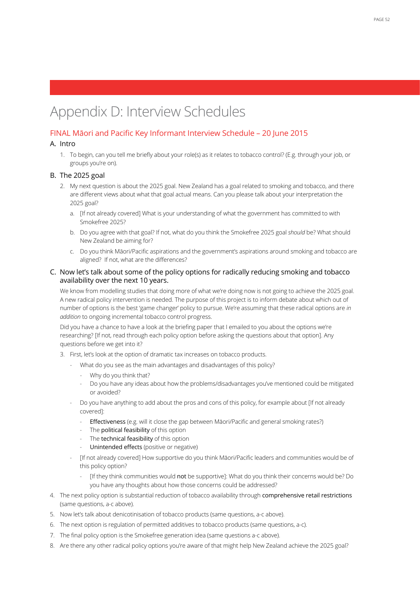# Appendix D: Interview Schedules

### FINAL Māori and Pacific Key Informant Interview Schedule – 20 June 2015

### A. Intro

1. To begin, can you tell me briefly about your role(s) as it relates to tobacco control? (E.g. through your job, or groups you're on).

### B. The 2025 goal

- 2. My next question is about the 2025 goal. New Zealand has a goal related to smoking and tobacco, and there are different views about what that goal actual means. Can you please talk about your interpretation the 2025 goal?
	- a. [If not already covered] What is your understanding of what the government has committed to with Smokefree 2025?
	- b. Do you agree with that goal? If not, what do you think the Smokefree 2025 goal *should* be? What should New Zealand be aiming for?
	- c. Do you think Māori/Pacific aspirations and the government's aspirations around smoking and tobacco are aligned? If not, what are the differences?

### C. Now let's talk about some of the policy options for radically reducing smoking and tobacco availability over the next 10 years.

We know from modelling studies that doing more of what we're doing now is not going to achieve the 2025 goal. A new radical policy intervention is needed. The purpose of this project is to inform debate about which out of number of options is the best 'game changer' policy to pursue. We're assuming that these radical options are *in addition* to ongoing incremental tobacco control progress.

Did you have a chance to have a look at the briefing paper that I emailed to you about the options we're researching? [If not, read through each policy option before asking the questions about that option]. Any questions before we get into it?

- 3. First, let's look at the option of dramatic tax increases on tobacco products.
	- What do you see as the main advantages and disadvantages of this policy?
		- Why do you think that?
		- Do you have any ideas about how the problems/disadvantages you've mentioned could be mitigated or avoided?
	- Do you have anything to add about the pros and cons of this policy, for example about [If not already covered]:
		- Effectiveness (e.g. will it close the gap between Māori/Pacific and general smoking rates?)
		- The **political feasibility** of this option
		- The technical feasibility of this option
		- Unintended effects (positive or negative)
	- [If not already covered] How supportive do you think Māori/Pacific leaders and communities would be of this policy option?
		- [If they think communities would not be supportive]: What do you think their concerns would be? Do you have any thoughts about how those concerns could be addressed?
- 4. The next policy option is substantial reduction of tobacco availability through comprehensive retail restrictions (same questions, a-c above).
- 5. Now let's talk about denicotinisation of tobacco products (same questions, a-c above).
- 6. The next option is regulation of permitted additives to tobacco products (same questions, a-c).
- 7. The final policy option is the Smokefree generation idea (same questions a-c above).
- 8. Are there any other radical policy options you're aware of that might help New Zealand achieve the 2025 goal?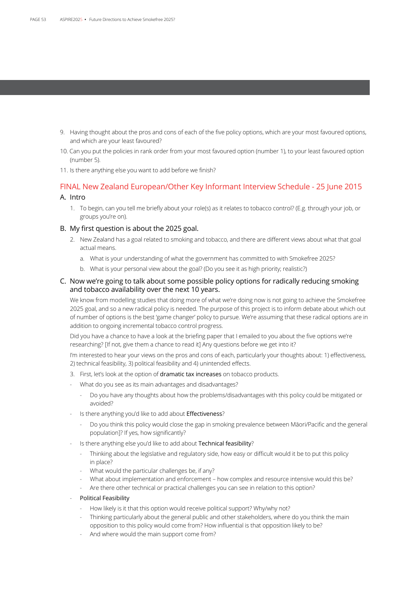- 9. Having thought about the pros and cons of each of the five policy options, which are your most favoured options, and which are your least favoured?
- 10. Can you put the policies in rank order from your most favoured option (number 1), to your least favoured option (number 5).
- 11. Is there anything else you want to add before we finish?

### FINAL New Zealand European/Other Key Informant Interview Schedule - 25 June 2015 A. Intro

1. To begin, can you tell me briefly about your role(s) as it relates to tobacco control? (E.g. through your job, or groups you're on).

### B. My first question is about the 2025 goal.

- 2. New Zealand has a goal related to smoking and tobacco, and there are different views about what that goal actual means.
	- a. What is your understanding of what the government has committed to with Smokefree 2025?
	- b. What is your personal view about the goal? (Do you see it as high priority; realistic?)

### C. Now we're going to talk about some possible policy options for radically reducing smoking and tobacco availability over the next 10 years.

We know from modelling studies that doing more of what we're doing now is not going to achieve the Smokefree 2025 goal, and so a new radical policy is needed. The purpose of this project is to inform debate about which out of number of options is the best 'game changer' policy to pursue. We're assuming that these radical options are in addition to ongoing incremental tobacco control progress.

Did you have a chance to have a look at the briefing paper that I emailed to you about the five options we're researching? [If not, give them a chance to read it] Any questions before we get into it?

I'm interested to hear your views on the pros and cons of each, particularly your thoughts about: 1) effectiveness, 2) technical feasibility, 3) political feasibility and 4) unintended effects.

- 3. First, let's look at the option of dramatic tax increases on tobacco products.
- What do you see as its main advantages and disadvantages?
	- Do you have any thoughts about how the problems/disadvantages with this policy could be mitigated or avoided?
- Is there anything you'd like to add about Effectiveness?
	- Do you think this policy would close the gap in smoking prevalence between Māori/Pacific and the general population]? If yes, how significantly?
- Is there anything else you'd like to add about Technical feasibility?
	- Thinking about the legislative and regulatory side, how easy or difficult would it be to put this policy in place?
	- What would the particular challenges be, if any?
	- What about implementation and enforcement how complex and resource intensive would this be?
	- Are there other technical or practical challenges you can see in relation to this option?
- Political Feasibility
	- How likely is it that this option would receive political support? Why/why not?
	- Thinking particularly about the general public and other stakeholders, where do you think the main opposition to this policy would come from? How influential is that opposition likely to be?
	- And where would the main support come from?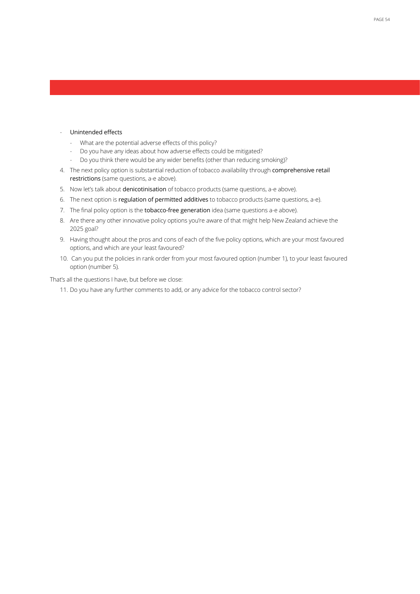### - Unintended effects

- What are the potential adverse effects of this policy?
- Do you have any ideas about how adverse effects could be mitigated?
- Do you think there would be any wider benefits (other than reducing smoking)?
- 4. The next policy option is substantial reduction of tobacco availability through comprehensive retail restrictions (same questions, a-e above).
- 5. Now let's talk about denicotinisation of tobacco products (same questions, a-e above).
- 6. The next option is regulation of permitted additives to tobacco products (same questions, a-e).
- 7. The final policy option is the tobacco-free generation idea (same questions a-e above).
- 8. Are there any other innovative policy options you're aware of that might help New Zealand achieve the 2025 goal?
- 9. Having thought about the pros and cons of each of the five policy options, which are your most favoured options, and which are your least favoured?
- 10. Can you put the policies in rank order from your most favoured option (number 1), to your least favoured option (number 5).

That's all the questions I have, but before we close:

11. Do you have any further comments to add, or any advice for the tobacco control sector?